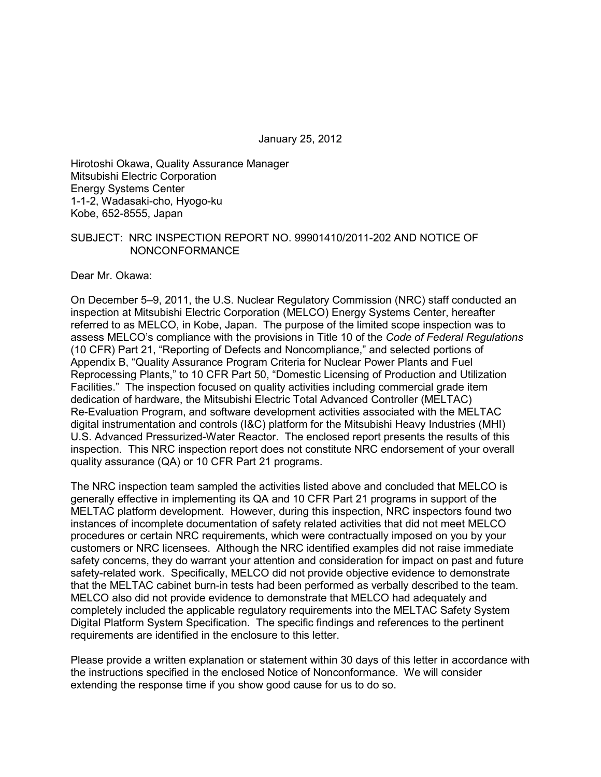January 25, 2012

Hirotoshi Okawa, Quality Assurance Manager Mitsubishi Electric Corporation Energy Systems Center 1-1-2, Wadasaki-cho, Hyogo-ku Kobe, 652-8555, Japan

#### SUBJECT: NRC INSPECTION REPORT NO. 99901410/2011-202 AND NOTICE OF NONCONFORMANCE

Dear Mr. Okawa:

On December 5–9, 2011, the U.S. Nuclear Regulatory Commission (NRC) staff conducted an inspection at Mitsubishi Electric Corporation (MELCO) Energy Systems Center, hereafter referred to as MELCO, in Kobe, Japan. The purpose of the limited scope inspection was to assess MELCO's compliance with the provisions in Title 10 of the *Code of Federal Regulations* (10 CFR) Part 21, "Reporting of Defects and Noncompliance," and selected portions of Appendix B, "Quality Assurance Program Criteria for Nuclear Power Plants and Fuel Reprocessing Plants," to 10 CFR Part 50, "Domestic Licensing of Production and Utilization Facilities." The inspection focused on quality activities including commercial grade item dedication of hardware, the Mitsubishi Electric Total Advanced Controller (MELTAC) Re-Evaluation Program, and software development activities associated with the MELTAC digital instrumentation and controls (I&C) platform for the Mitsubishi Heavy Industries (MHI) U.S. Advanced Pressurized-Water Reactor. The enclosed report presents the results of this inspection. This NRC inspection report does not constitute NRC endorsement of your overall quality assurance (QA) or 10 CFR Part 21 programs.

The NRC inspection team sampled the activities listed above and concluded that MELCO is generally effective in implementing its QA and 10 CFR Part 21 programs in support of the MELTAC platform development. However, during this inspection, NRC inspectors found two instances of incomplete documentation of safety related activities that did not meet MELCO procedures or certain NRC requirements, which were contractually imposed on you by your customers or NRC licensees. Although the NRC identified examples did not raise immediate safety concerns, they do warrant your attention and consideration for impact on past and future safety-related work. Specifically, MELCO did not provide objective evidence to demonstrate that the MELTAC cabinet burn-in tests had been performed as verbally described to the team. MELCO also did not provide evidence to demonstrate that MELCO had adequately and completely included the applicable regulatory requirements into the MELTAC Safety System Digital Platform System Specification. The specific findings and references to the pertinent requirements are identified in the enclosure to this letter.

Please provide a written explanation or statement within 30 days of this letter in accordance with the instructions specified in the enclosed Notice of Nonconformance. We will consider extending the response time if you show good cause for us to do so.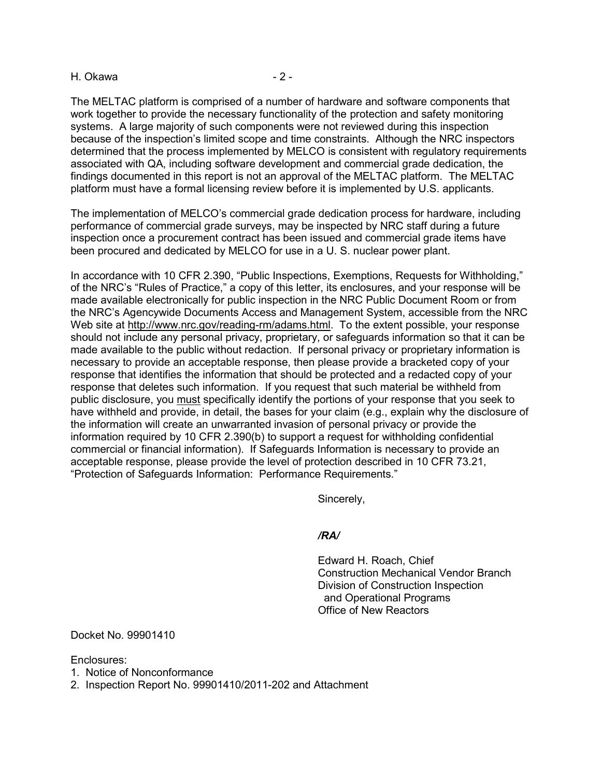#### H. Okawa  $-2$  -

The MELTAC platform is comprised of a number of hardware and software components that work together to provide the necessary functionality of the protection and safety monitoring systems. A large majority of such components were not reviewed during this inspection because of the inspection's limited scope and time constraints. Although the NRC inspectors determined that the process implemented by MELCO is consistent with regulatory requirements associated with QA, including software development and commercial grade dedication, the findings documented in this report is not an approval of the MELTAC platform. The MELTAC platform must have a formal licensing review before it is implemented by U.S. applicants.

The implementation of MELCO's commercial grade dedication process for hardware, including performance of commercial grade surveys, may be inspected by NRC staff during a future inspection once a procurement contract has been issued and commercial grade items have been procured and dedicated by MELCO for use in a U. S. nuclear power plant.

In accordance with 10 CFR 2.390, "Public Inspections, Exemptions, Requests for Withholding," of the NRC's "Rules of Practice," a copy of this letter, its enclosures, and your response will be made available electronically for public inspection in the NRC Public Document Room or from the NRC's Agencywide Documents Access and Management System, accessible from the NRC Web site at http://www.nrc.gov/reading-rm/adams.html. To the extent possible, your response should not include any personal privacy, proprietary, or safeguards information so that it can be made available to the public without redaction. If personal privacy or proprietary information is necessary to provide an acceptable response, then please provide a bracketed copy of your response that identifies the information that should be protected and a redacted copy of your response that deletes such information. If you request that such material be withheld from public disclosure, you must specifically identify the portions of your response that you seek to have withheld and provide, in detail, the bases for your claim (e.g., explain why the disclosure of the information will create an unwarranted invasion of personal privacy or provide the information required by 10 CFR 2.390(b) to support a request for withholding confidential commercial or financial information). If Safeguards Information is necessary to provide an acceptable response, please provide the level of protection described in 10 CFR 73.21, "Protection of Safeguards Information: Performance Requirements."

Sincerely,

#### */RA/*

 Edward H. Roach, Chief Construction Mechanical Vendor Branch Division of Construction Inspection and Operational Programs Office of New Reactors

Docket No. 99901410

Enclosures:

1. Notice of Nonconformance

2. Inspection Report No. 99901410/2011-202 and Attachment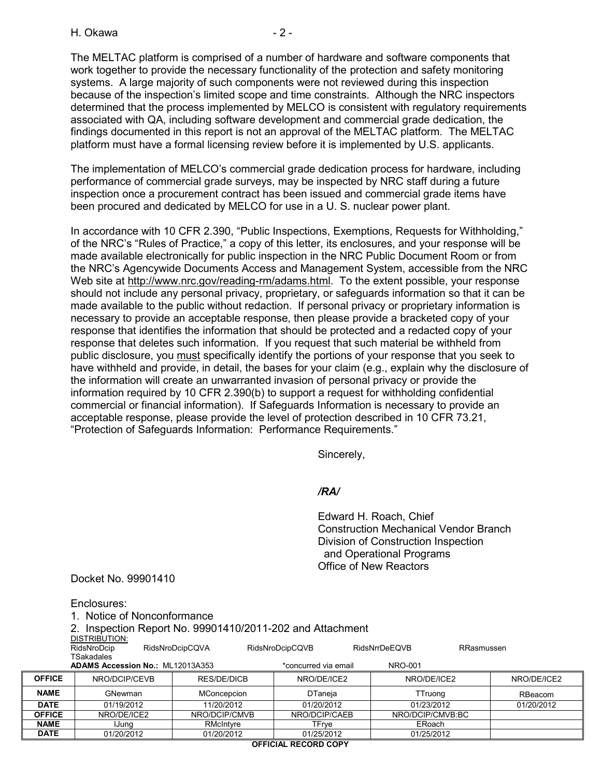H. Okawa  $-2$  -

The MELTAC platform is comprised of a number of hardware and software components that work together to provide the necessary functionality of the protection and safety monitoring systems. A large majority of such components were not reviewed during this inspection because of the inspection's limited scope and time constraints. Although the NRC inspectors determined that the process implemented by MELCO is consistent with regulatory requirements associated with QA, including software development and commercial grade dedication, the findings documented in this report is not an approval of the MELTAC platform. The MELTAC platform must have a formal licensing review before it is implemented by U.S. applicants.

The implementation of MELCO's commercial grade dedication process for hardware, including performance of commercial grade surveys, may be inspected by NRC staff during a future inspection once a procurement contract has been issued and commercial grade items have been procured and dedicated by MELCO for use in a U. S. nuclear power plant.

In accordance with 10 CFR 2.390, "Public Inspections, Exemptions, Requests for Withholding," of the NRC's "Rules of Practice," a copy of this letter, its enclosures, and your response will be made available electronically for public inspection in the NRC Public Document Room or from the NRC's Agencywide Documents Access and Management System, accessible from the NRC Web site at http://www.nrc.gov/reading-rm/adams.html. To the extent possible, your response should not include any personal privacy, proprietary, or safeguards information so that it can be made available to the public without redaction. If personal privacy or proprietary information is necessary to provide an acceptable response, then please provide a bracketed copy of your response that identifies the information that should be protected and a redacted copy of your response that deletes such information. If you request that such material be withheld from public disclosure, you must specifically identify the portions of your response that you seek to have withheld and provide, in detail, the bases for your claim (e.g., explain why the disclosure of the information will create an unwarranted invasion of personal privacy or provide the information required by 10 CFR 2.390(b) to support a request for withholding confidential commercial or financial information). If Safeguards Information is necessary to provide an acceptable response, please provide the level of protection described in 10 CFR 73.21, "Protection of Safeguards Information: Performance Requirements."

Sincerely,

#### */RA/*

 Edward H. Roach, Chief Construction Mechanical Vendor Branch Division of Construction Inspection and Operational Programs Office of New Reactors

Docket No. 99901410

Enclosures: 1. Notice of Nonconformance

2. Inspection Report No. 99901410/2011-202 and Attachment DISTRIBUTION:<br>RidsNroDcip RidsNroDcipCQVA RidsNroDcipCQVB RidsNrrDeEQVB RRasmussen

**TSakadales** 

|               | <b>ADAMS Accession No.: ML12013A353</b> |               | *concurred via email | NRO-001          |             |
|---------------|-----------------------------------------|---------------|----------------------|------------------|-------------|
| <b>OFFICE</b> | NRO/DCIP/CEVB                           | RES/DE/DICB   | NRO/DE/ICE2          | NRO/DE/ICE2      | NRO/DE/ICE2 |
| <b>NAME</b>   | GNewman                                 | MConcepcion   | DTaneja              | <b>Truong</b>    | RBeacom     |
| <b>DATE</b>   | 01/19/2012                              | 11/20/2012    | 01/20/2012           | 01/23/2012       | 01/20/2012  |
| <b>OFFICE</b> | NRO/DE/ICE2                             | NRO/DCIP/CMVB | NRO/DCIP/CAEB        | NRO/DCIP/CMVB:BC |             |

**NAME** IJung | RMcIntyre | TFrye | ERoach **DATE** 01/20/2012 01/20/2012 01/25/2012 01/25/2012

**OFFICIAL RECORD COPY**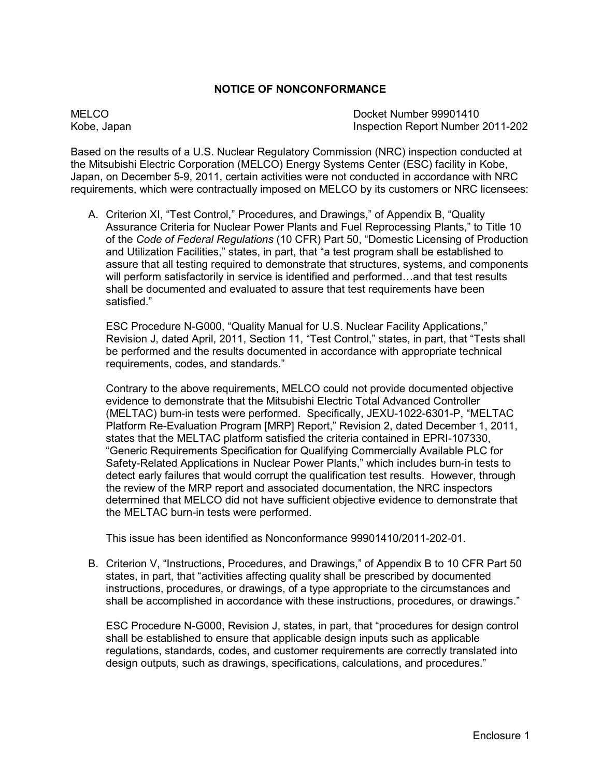#### **NOTICE OF NONCONFORMANCE**

MELCO Docket Number 99901410 Kobe, Japan Inspection Report Number 2011-202

Based on the results of a U.S. Nuclear Regulatory Commission (NRC) inspection conducted at the Mitsubishi Electric Corporation (MELCO) Energy Systems Center (ESC) facility in Kobe, Japan, on December 5-9, 2011, certain activities were not conducted in accordance with NRC requirements, which were contractually imposed on MELCO by its customers or NRC licensees:

A. Criterion XI, "Test Control," Procedures, and Drawings," of Appendix B, "Quality Assurance Criteria for Nuclear Power Plants and Fuel Reprocessing Plants," to Title 10 of the *Code of Federal Regulations* (10 CFR) Part 50, "Domestic Licensing of Production and Utilization Facilities," states, in part, that "a test program shall be established to assure that all testing required to demonstrate that structures, systems, and components will perform satisfactorily in service is identified and performed…and that test results shall be documented and evaluated to assure that test requirements have been satisfied."

 ESC Procedure N-G000, "Quality Manual for U.S. Nuclear Facility Applications," Revision J, dated April, 2011, Section 11, "Test Control," states, in part, that "Tests shall be performed and the results documented in accordance with appropriate technical requirements, codes, and standards."

 Contrary to the above requirements, MELCO could not provide documented objective evidence to demonstrate that the Mitsubishi Electric Total Advanced Controller (MELTAC) burn-in tests were performed. Specifically, JEXU-1022-6301-P, "MELTAC Platform Re-Evaluation Program [MRP] Report," Revision 2, dated December 1, 2011, states that the MELTAC platform satisfied the criteria contained in EPRI-107330, "Generic Requirements Specification for Qualifying Commercially Available PLC for Safety-Related Applications in Nuclear Power Plants," which includes burn-in tests to detect early failures that would corrupt the qualification test results. However, through the review of the MRP report and associated documentation, the NRC inspectors determined that MELCO did not have sufficient objective evidence to demonstrate that the MELTAC burn-in tests were performed.

This issue has been identified as Nonconformance 99901410/2011-202-01.

B. Criterion V, "Instructions, Procedures, and Drawings," of Appendix B to 10 CFR Part 50 states, in part, that "activities affecting quality shall be prescribed by documented instructions, procedures, or drawings, of a type appropriate to the circumstances and shall be accomplished in accordance with these instructions, procedures, or drawings."

ESC Procedure N-G000, Revision J, states, in part, that "procedures for design control shall be established to ensure that applicable design inputs such as applicable regulations, standards, codes, and customer requirements are correctly translated into design outputs, such as drawings, specifications, calculations, and procedures."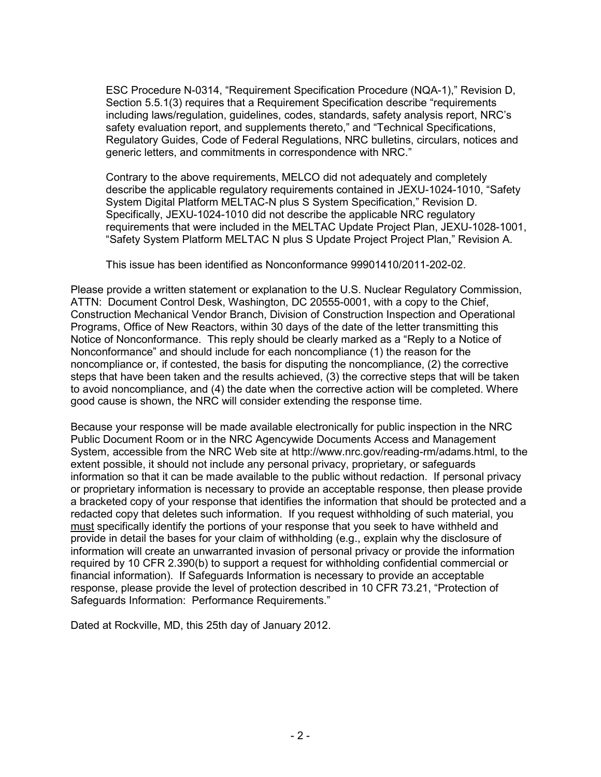ESC Procedure N-0314, "Requirement Specification Procedure (NQA-1)," Revision D, Section 5.5.1(3) requires that a Requirement Specification describe "requirements including laws/regulation, guidelines, codes, standards, safety analysis report, NRC's safety evaluation report, and supplements thereto," and "Technical Specifications, Regulatory Guides, Code of Federal Regulations, NRC bulletins, circulars, notices and generic letters, and commitments in correspondence with NRC."

Contrary to the above requirements, MELCO did not adequately and completely describe the applicable regulatory requirements contained in JEXU-1024-1010, "Safety System Digital Platform MELTAC-N plus S System Specification," Revision D. Specifically, JEXU-1024-1010 did not describe the applicable NRC regulatory requirements that were included in the MELTAC Update Project Plan, JEXU-1028-1001, "Safety System Platform MELTAC N plus S Update Project Project Plan," Revision A.

This issue has been identified as Nonconformance 99901410/2011-202-02.

Please provide a written statement or explanation to the U.S. Nuclear Regulatory Commission, ATTN: Document Control Desk, Washington, DC 20555-0001, with a copy to the Chief, Construction Mechanical Vendor Branch, Division of Construction Inspection and Operational Programs, Office of New Reactors, within 30 days of the date of the letter transmitting this Notice of Nonconformance. This reply should be clearly marked as a "Reply to a Notice of Nonconformance" and should include for each noncompliance (1) the reason for the noncompliance or, if contested, the basis for disputing the noncompliance, (2) the corrective steps that have been taken and the results achieved, (3) the corrective steps that will be taken to avoid noncompliance, and (4) the date when the corrective action will be completed. Where good cause is shown, the NRC will consider extending the response time.

Because your response will be made available electronically for public inspection in the NRC Public Document Room or in the NRC Agencywide Documents Access and Management System, accessible from the NRC Web site at http://www.nrc.gov/reading-rm/adams.html, to the extent possible, it should not include any personal privacy, proprietary, or safeguards information so that it can be made available to the public without redaction. If personal privacy or proprietary information is necessary to provide an acceptable response, then please provide a bracketed copy of your response that identifies the information that should be protected and a redacted copy that deletes such information. If you request withholding of such material, you must specifically identify the portions of your response that you seek to have withheld and provide in detail the bases for your claim of withholding (e.g., explain why the disclosure of information will create an unwarranted invasion of personal privacy or provide the information required by 10 CFR 2.390(b) to support a request for withholding confidential commercial or financial information). If Safeguards Information is necessary to provide an acceptable response, please provide the level of protection described in 10 CFR 73.21, "Protection of Safeguards Information: Performance Requirements."

Dated at Rockville, MD, this 25th day of January 2012.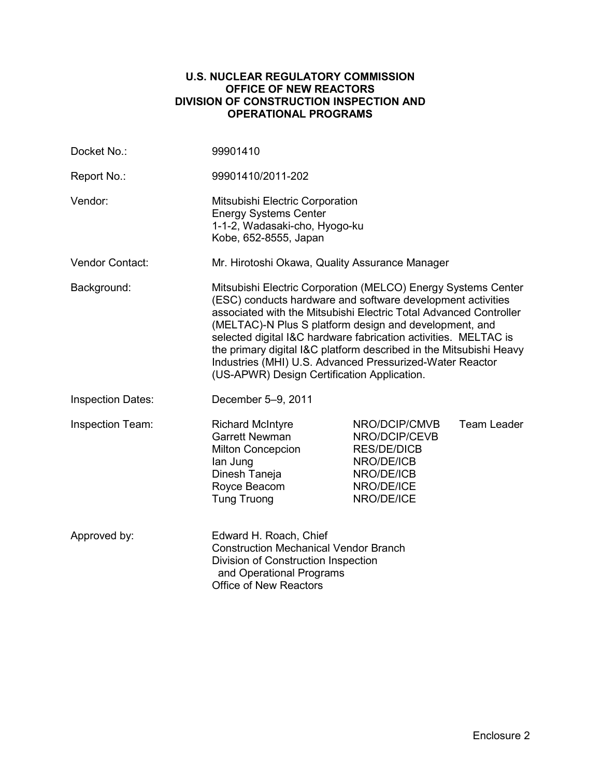#### **U.S. NUCLEAR REGULATORY COMMISSION OFFICE OF NEW REACTORS DIVISION OF CONSTRUCTION INSPECTION AND OPERATIONAL PROGRAMS**

| Docket No.:              | 99901410                                                                                                                                                                                                                                                                                                                                                                                                                                                                                                        |                                                                                                              |                    |  |
|--------------------------|-----------------------------------------------------------------------------------------------------------------------------------------------------------------------------------------------------------------------------------------------------------------------------------------------------------------------------------------------------------------------------------------------------------------------------------------------------------------------------------------------------------------|--------------------------------------------------------------------------------------------------------------|--------------------|--|
| Report No.:              | 99901410/2011-202                                                                                                                                                                                                                                                                                                                                                                                                                                                                                               |                                                                                                              |                    |  |
| Vendor:                  | Mitsubishi Electric Corporation<br><b>Energy Systems Center</b><br>1-1-2, Wadasaki-cho, Hyogo-ku<br>Kobe, 652-8555, Japan                                                                                                                                                                                                                                                                                                                                                                                       |                                                                                                              |                    |  |
| Vendor Contact:          | Mr. Hirotoshi Okawa, Quality Assurance Manager                                                                                                                                                                                                                                                                                                                                                                                                                                                                  |                                                                                                              |                    |  |
| Background:              | Mitsubishi Electric Corporation (MELCO) Energy Systems Center<br>(ESC) conducts hardware and software development activities<br>associated with the Mitsubishi Electric Total Advanced Controller<br>(MELTAC)-N Plus S platform design and development, and<br>selected digital I&C hardware fabrication activities. MELTAC is<br>the primary digital I&C platform described in the Mitsubishi Heavy<br>Industries (MHI) U.S. Advanced Pressurized-Water Reactor<br>(US-APWR) Design Certification Application. |                                                                                                              |                    |  |
| <b>Inspection Dates:</b> | December 5-9, 2011                                                                                                                                                                                                                                                                                                                                                                                                                                                                                              |                                                                                                              |                    |  |
| Inspection Team:         | <b>Richard McIntyre</b><br><b>Garrett Newman</b><br>Milton Concepcion<br>lan Jung<br>Dinesh Taneja<br>Royce Beacom<br><b>Tung Truong</b>                                                                                                                                                                                                                                                                                                                                                                        | NRO/DCIP/CMVB<br>NRO/DCIP/CEVB<br><b>RES/DE/DICB</b><br>NRO/DE/ICB<br>NRO/DE/ICB<br>NRO/DE/ICE<br>NRO/DE/ICE | <b>Team Leader</b> |  |
| Approved by:             | Edward H. Roach, Chief<br><b>Construction Mechanical Vendor Branch</b><br>Division of Construction Inspection<br>and Operational Programs<br><b>Office of New Reactors</b>                                                                                                                                                                                                                                                                                                                                      |                                                                                                              |                    |  |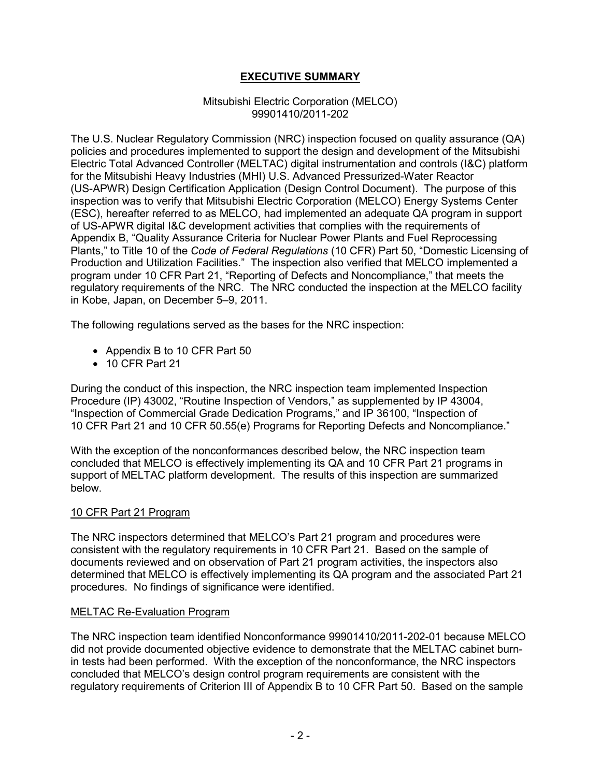# **EXECUTIVE SUMMARY**

#### Mitsubishi Electric Corporation (MELCO) 99901410/2011-202

The U.S. Nuclear Regulatory Commission (NRC) inspection focused on quality assurance (QA) policies and procedures implemented to support the design and development of the Mitsubishi Electric Total Advanced Controller (MELTAC) digital instrumentation and controls (I&C) platform for the Mitsubishi Heavy Industries (MHI) U.S. Advanced Pressurized-Water Reactor (US-APWR) Design Certification Application (Design Control Document). The purpose of this inspection was to verify that Mitsubishi Electric Corporation (MELCO) Energy Systems Center (ESC), hereafter referred to as MELCO, had implemented an adequate QA program in support of US-APWR digital I&C development activities that complies with the requirements of Appendix B, "Quality Assurance Criteria for Nuclear Power Plants and Fuel Reprocessing Plants," to Title 10 of the *Code of Federal Regulations* (10 CFR) Part 50, "Domestic Licensing of Production and Utilization Facilities." The inspection also verified that MELCO implemented a program under 10 CFR Part 21, "Reporting of Defects and Noncompliance," that meets the regulatory requirements of the NRC. The NRC conducted the inspection at the MELCO facility in Kobe, Japan, on December 5–9, 2011.

The following regulations served as the bases for the NRC inspection:

- Appendix B to 10 CFR Part 50
- 10 CFR Part 21

During the conduct of this inspection, the NRC inspection team implemented Inspection Procedure (IP) 43002, "Routine Inspection of Vendors," as supplemented by IP 43004, "Inspection of Commercial Grade Dedication Programs," and IP 36100, "Inspection of 10 CFR Part 21 and 10 CFR 50.55(e) Programs for Reporting Defects and Noncompliance."

With the exception of the nonconformances described below, the NRC inspection team concluded that MELCO is effectively implementing its QA and 10 CFR Part 21 programs in support of MELTAC platform development. The results of this inspection are summarized below.

# 10 CFR Part 21 Program

The NRC inspectors determined that MELCO's Part 21 program and procedures were consistent with the regulatory requirements in 10 CFR Part 21. Based on the sample of documents reviewed and on observation of Part 21 program activities, the inspectors also determined that MELCO is effectively implementing its QA program and the associated Part 21 procedures. No findings of significance were identified.

# MELTAC Re-Evaluation Program

The NRC inspection team identified Nonconformance 99901410/2011-202-01 because MELCO did not provide documented objective evidence to demonstrate that the MELTAC cabinet burnin tests had been performed. With the exception of the nonconformance, the NRC inspectors concluded that MELCO's design control program requirements are consistent with the regulatory requirements of Criterion III of Appendix B to 10 CFR Part 50. Based on the sample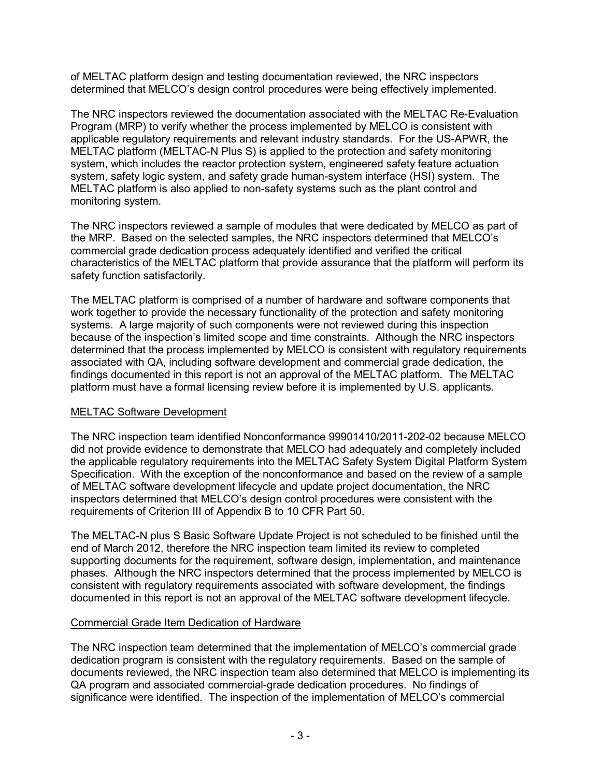of MELTAC platform design and testing documentation reviewed, the NRC inspectors determined that MELCO's design control procedures were being effectively implemented.

The NRC inspectors reviewed the documentation associated with the MELTAC Re-Evaluation Program (MRP) to verify whether the process implemented by MELCO is consistent with applicable regulatory requirements and relevant industry standards. For the US-APWR, the MELTAC platform (MELTAC-N Plus S) is applied to the protection and safety monitoring system, which includes the reactor protection system, engineered safety feature actuation system, safety logic system, and safety grade human-system interface (HSI) system. The MELTAC platform is also applied to non-safety systems such as the plant control and monitoring system.

The NRC inspectors reviewed a sample of modules that were dedicated by MELCO as part of the MRP. Based on the selected samples, the NRC inspectors determined that MELCO's commercial grade dedication process adequately identified and verified the critical characteristics of the MELTAC platform that provide assurance that the platform will perform its safety function satisfactorily.

The MELTAC platform is comprised of a number of hardware and software components that work together to provide the necessary functionality of the protection and safety monitoring systems. A large majority of such components were not reviewed during this inspection because of the inspection's limited scope and time constraints. Although the NRC inspectors determined that the process implemented by MELCO is consistent with regulatory requirements associated with QA, including software development and commercial grade dedication, the findings documented in this report is not an approval of the MELTAC platform. The MELTAC platform must have a formal licensing review before it is implemented by U.S. applicants.

# MELTAC Software Development

The NRC inspection team identified Nonconformance 99901410/2011-202-02 because MELCO did not provide evidence to demonstrate that MELCO had adequately and completely included the applicable regulatory requirements into the MELTAC Safety System Digital Platform System Specification. With the exception of the nonconformance and based on the review of a sample of MELTAC software development lifecycle and update project documentation, the NRC inspectors determined that MELCO's design control procedures were consistent with the requirements of Criterion III of Appendix B to 10 CFR Part 50.

The MELTAC-N plus S Basic Software Update Project is not scheduled to be finished until the end of March 2012, therefore the NRC inspection team limited its review to completed supporting documents for the requirement, software design, implementation, and maintenance phases. Although the NRC inspectors determined that the process implemented by MELCO is consistent with regulatory requirements associated with software development, the findings documented in this report is not an approval of the MELTAC software development lifecycle.

# Commercial Grade Item Dedication of Hardware

The NRC inspection team determined that the implementation of MELCO's commercial grade dedication program is consistent with the regulatory requirements. Based on the sample of documents reviewed, the NRC inspection team also determined that MELCO is implementing its QA program and associated commercial-grade dedication procedures. No findings of significance were identified. The inspection of the implementation of MELCO's commercial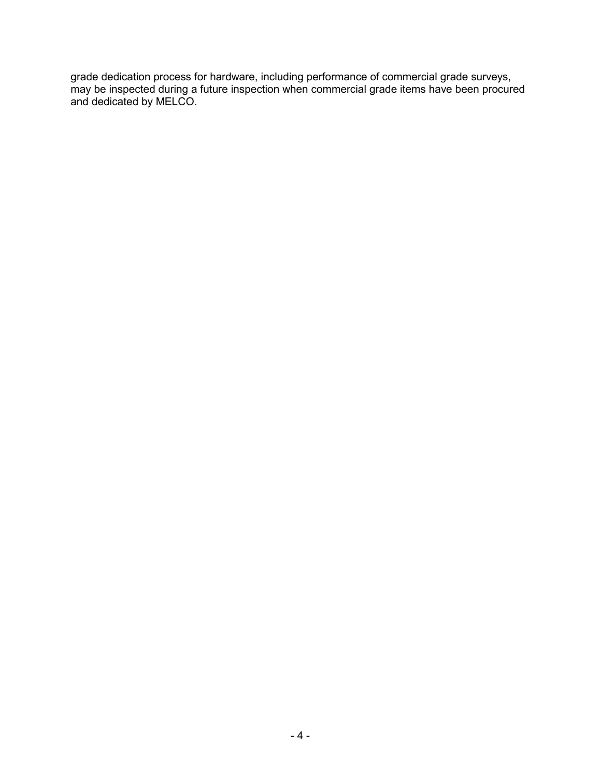grade dedication process for hardware, including performance of commercial grade surveys, may be inspected during a future inspection when commercial grade items have been procured and dedicated by MELCO.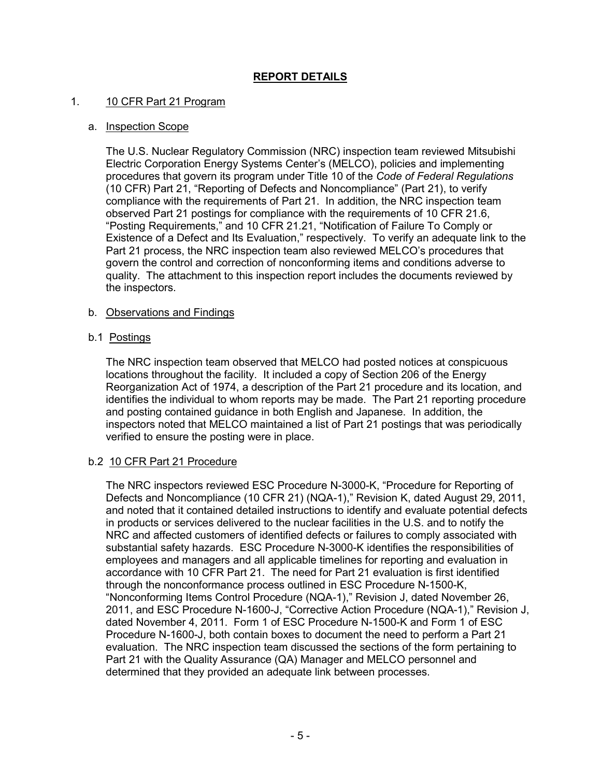# **REPORT DETAILS**

#### 1. 10 CFR Part 21 Program

#### a. Inspection Scope

The U.S. Nuclear Regulatory Commission (NRC) inspection team reviewed Mitsubishi Electric Corporation Energy Systems Center's (MELCO), policies and implementing procedures that govern its program under Title 10 of the *Code of Federal Regulations* (10 CFR) Part 21, "Reporting of Defects and Noncompliance" (Part 21), to verify compliance with the requirements of Part 21. In addition, the NRC inspection team observed Part 21 postings for compliance with the requirements of 10 CFR 21.6, "Posting Requirements," and 10 CFR 21.21, "Notification of Failure To Comply or Existence of a Defect and Its Evaluation," respectively. To verify an adequate link to the Part 21 process, the NRC inspection team also reviewed MELCO's procedures that govern the control and correction of nonconforming items and conditions adverse to quality. The attachment to this inspection report includes the documents reviewed by the inspectors.

#### b. Observations and Findings

#### b.1 Postings

The NRC inspection team observed that MELCO had posted notices at conspicuous locations throughout the facility. It included a copy of Section 206 of the Energy Reorganization Act of 1974, a description of the Part 21 procedure and its location, and identifies the individual to whom reports may be made. The Part 21 reporting procedure and posting contained guidance in both English and Japanese. In addition, the inspectors noted that MELCO maintained a list of Part 21 postings that was periodically verified to ensure the posting were in place.

# b.2 10 CFR Part 21 Procedure

The NRC inspectors reviewed ESC Procedure N-3000-K, "Procedure for Reporting of Defects and Noncompliance (10 CFR 21) (NQA-1)," Revision K, dated August 29, 2011, and noted that it contained detailed instructions to identify and evaluate potential defects in products or services delivered to the nuclear facilities in the U.S. and to notify the NRC and affected customers of identified defects or failures to comply associated with substantial safety hazards. ESC Procedure N-3000-K identifies the responsibilities of employees and managers and all applicable timelines for reporting and evaluation in accordance with 10 CFR Part 21. The need for Part 21 evaluation is first identified through the nonconformance process outlined in ESC Procedure N-1500-K, "Nonconforming Items Control Procedure (NQA-1)," Revision J, dated November 26, 2011, and ESC Procedure N-1600-J, "Corrective Action Procedure (NQA-1)," Revision J, dated November 4, 2011. Form 1 of ESC Procedure N-1500-K and Form 1 of ESC Procedure N-1600-J, both contain boxes to document the need to perform a Part 21 evaluation. The NRC inspection team discussed the sections of the form pertaining to Part 21 with the Quality Assurance (QA) Manager and MELCO personnel and determined that they provided an adequate link between processes.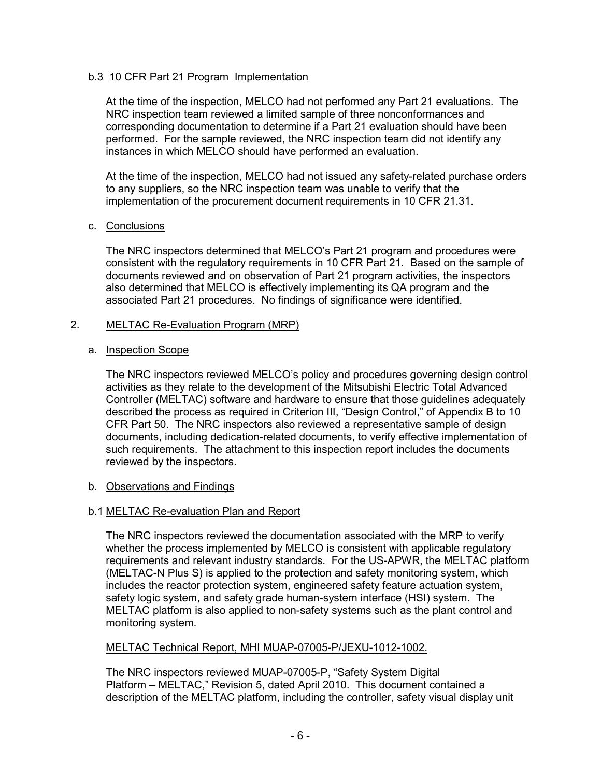# b.3 10 CFR Part 21 Program Implementation

At the time of the inspection, MELCO had not performed any Part 21 evaluations. The NRC inspection team reviewed a limited sample of three nonconformances and corresponding documentation to determine if a Part 21 evaluation should have been performed. For the sample reviewed, the NRC inspection team did not identify any instances in which MELCO should have performed an evaluation.

At the time of the inspection, MELCO had not issued any safety-related purchase orders to any suppliers, so the NRC inspection team was unable to verify that the implementation of the procurement document requirements in 10 CFR 21.31.

# c. Conclusions

The NRC inspectors determined that MELCO's Part 21 program and procedures were consistent with the regulatory requirements in 10 CFR Part 21. Based on the sample of documents reviewed and on observation of Part 21 program activities, the inspectors also determined that MELCO is effectively implementing its QA program and the associated Part 21 procedures. No findings of significance were identified.

# 2. MELTAC Re-Evaluation Program (MRP)

# a. Inspection Scope

The NRC inspectors reviewed MELCO's policy and procedures governing design control activities as they relate to the development of the Mitsubishi Electric Total Advanced Controller (MELTAC) software and hardware to ensure that those guidelines adequately described the process as required in Criterion III, "Design Control," of Appendix B to 10 CFR Part 50. The NRC inspectors also reviewed a representative sample of design documents, including dedication-related documents, to verify effective implementation of such requirements. The attachment to this inspection report includes the documents reviewed by the inspectors.

# b. Observations and Findings

# b.1 MELTAC Re-evaluation Plan and Report

The NRC inspectors reviewed the documentation associated with the MRP to verify whether the process implemented by MELCO is consistent with applicable regulatory requirements and relevant industry standards. For the US-APWR, the MELTAC platform (MELTAC-N Plus S) is applied to the protection and safety monitoring system, which includes the reactor protection system, engineered safety feature actuation system, safety logic system, and safety grade human-system interface (HSI) system. The MELTAC platform is also applied to non-safety systems such as the plant control and monitoring system.

# MELTAC Technical Report, MHI MUAP-07005-P/JEXU-1012-1002.

The NRC inspectors reviewed MUAP-07005-P, "Safety System Digital Platform – MELTAC," Revision 5, dated April 2010. This document contained a description of the MELTAC platform, including the controller, safety visual display unit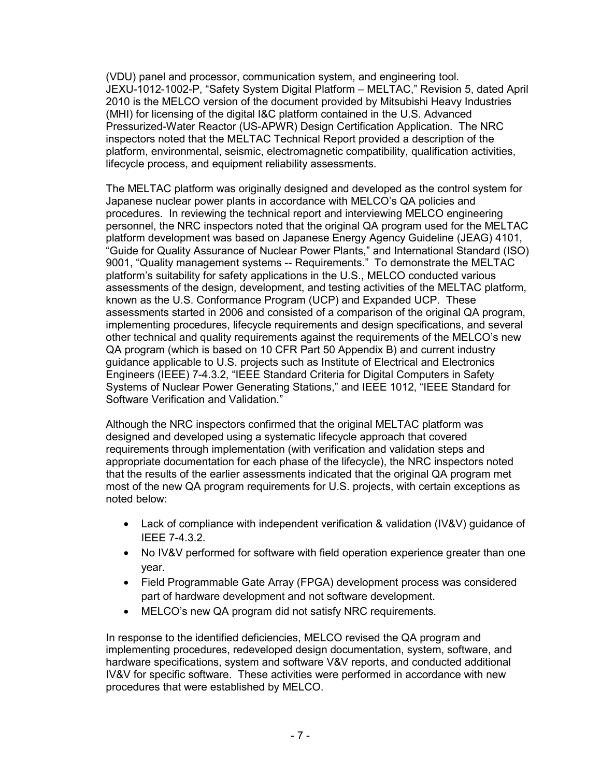(VDU) panel and processor, communication system, and engineering tool. JEXU-1012-1002-P, "Safety System Digital Platform – MELTAC," Revision 5, dated April 2010 is the MELCO version of the document provided by Mitsubishi Heavy Industries (MHI) for licensing of the digital I&C platform contained in the U.S. Advanced Pressurized-Water Reactor (US-APWR) Design Certification Application. The NRC inspectors noted that the MELTAC Technical Report provided a description of the platform, environmental, seismic, electromagnetic compatibility, qualification activities, lifecycle process, and equipment reliability assessments.

The MELTAC platform was originally designed and developed as the control system for Japanese nuclear power plants in accordance with MELCO's QA policies and procedures. In reviewing the technical report and interviewing MELCO engineering personnel, the NRC inspectors noted that the original QA program used for the MELTAC platform development was based on Japanese Energy Agency Guideline (JEAG) 4101, "Guide for Quality Assurance of Nuclear Power Plants," and International Standard (ISO) 9001, "Quality management systems -- Requirements." To demonstrate the MELTAC platform's suitability for safety applications in the U.S., MELCO conducted various assessments of the design, development, and testing activities of the MELTAC platform, known as the U.S. Conformance Program (UCP) and Expanded UCP. These assessments started in 2006 and consisted of a comparison of the original QA program, implementing procedures, lifecycle requirements and design specifications, and several other technical and quality requirements against the requirements of the MELCO's new QA program (which is based on 10 CFR Part 50 Appendix B) and current industry guidance applicable to U.S. projects such as Institute of Electrical and Electronics Engineers (IEEE) 7-4.3.2, "IEEE Standard Criteria for Digital Computers in Safety Systems of Nuclear Power Generating Stations," and IEEE 1012, "IEEE Standard for Software Verification and Validation."

Although the NRC inspectors confirmed that the original MELTAC platform was designed and developed using a systematic lifecycle approach that covered requirements through implementation (with verification and validation steps and appropriate documentation for each phase of the lifecycle), the NRC inspectors noted that the results of the earlier assessments indicated that the original QA program met most of the new QA program requirements for U.S. projects, with certain exceptions as noted below:

- Lack of compliance with independent verification & validation (IV&V) guidance of IEEE 7-4.3.2.
- No IV&V performed for software with field operation experience greater than one year.
- Field Programmable Gate Array (FPGA) development process was considered part of hardware development and not software development.
- MELCO's new QA program did not satisfy NRC requirements.

In response to the identified deficiencies, MELCO revised the QA program and implementing procedures, redeveloped design documentation, system, software, and hardware specifications, system and software V&V reports, and conducted additional IV&V for specific software. These activities were performed in accordance with new procedures that were established by MELCO.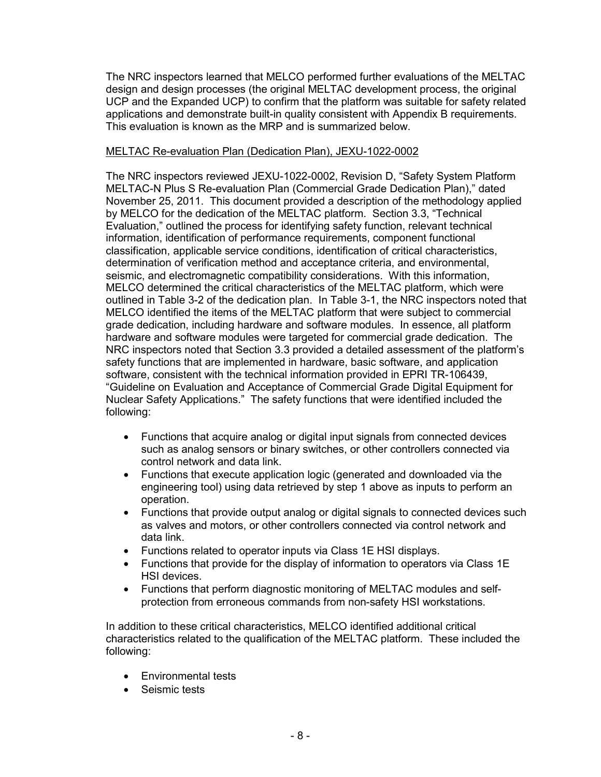The NRC inspectors learned that MELCO performed further evaluations of the MELTAC design and design processes (the original MELTAC development process, the original UCP and the Expanded UCP) to confirm that the platform was suitable for safety related applications and demonstrate built-in quality consistent with Appendix B requirements. This evaluation is known as the MRP and is summarized below.

# MELTAC Re-evaluation Plan (Dedication Plan), JEXU-1022-0002

The NRC inspectors reviewed JEXU-1022-0002, Revision D, "Safety System Platform MELTAC-N Plus S Re-evaluation Plan (Commercial Grade Dedication Plan)," dated November 25, 2011. This document provided a description of the methodology applied by MELCO for the dedication of the MELTAC platform. Section 3.3, "Technical Evaluation," outlined the process for identifying safety function, relevant technical information, identification of performance requirements, component functional classification, applicable service conditions, identification of critical characteristics, determination of verification method and acceptance criteria, and environmental, seismic, and electromagnetic compatibility considerations. With this information, MELCO determined the critical characteristics of the MELTAC platform, which were outlined in Table 3-2 of the dedication plan. In Table 3-1, the NRC inspectors noted that MELCO identified the items of the MELTAC platform that were subject to commercial grade dedication, including hardware and software modules. In essence, all platform hardware and software modules were targeted for commercial grade dedication. The NRC inspectors noted that Section 3.3 provided a detailed assessment of the platform's safety functions that are implemented in hardware, basic software, and application software, consistent with the technical information provided in EPRI TR-106439, "Guideline on Evaluation and Acceptance of Commercial Grade Digital Equipment for Nuclear Safety Applications." The safety functions that were identified included the following:

- Functions that acquire analog or digital input signals from connected devices such as analog sensors or binary switches, or other controllers connected via control network and data link.
- Functions that execute application logic (generated and downloaded via the engineering tool) using data retrieved by step 1 above as inputs to perform an operation.
- Functions that provide output analog or digital signals to connected devices such as valves and motors, or other controllers connected via control network and data link.
- Functions related to operator inputs via Class 1E HSI displays.
- Functions that provide for the display of information to operators via Class 1E HSI devices.
- Functions that perform diagnostic monitoring of MELTAC modules and selfprotection from erroneous commands from non-safety HSI workstations.

In addition to these critical characteristics, MELCO identified additional critical characteristics related to the qualification of the MELTAC platform. These included the following:

- Environmental tests
- Seismic tests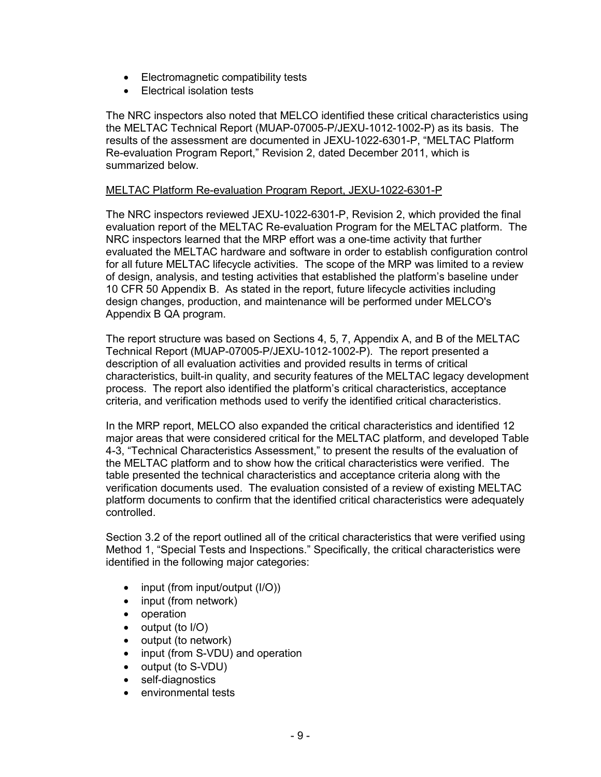- Electromagnetic compatibility tests
- Electrical isolation tests

The NRC inspectors also noted that MELCO identified these critical characteristics using the MELTAC Technical Report (MUAP-07005-P/JEXU-1012-1002-P) as its basis. The results of the assessment are documented in JEXU-1022-6301-P, "MELTAC Platform Re-evaluation Program Report," Revision 2, dated December 2011, which is summarized below.

#### MELTAC Platform Re-evaluation Program Report, JEXU-1022-6301-P

The NRC inspectors reviewed JEXU-1022-6301-P, Revision 2, which provided the final evaluation report of the MELTAC Re-evaluation Program for the MELTAC platform. The NRC inspectors learned that the MRP effort was a one-time activity that further evaluated the MELTAC hardware and software in order to establish configuration control for all future MELTAC lifecycle activities. The scope of the MRP was limited to a review of design, analysis, and testing activities that established the platform's baseline under 10 CFR 50 Appendix B. As stated in the report, future lifecycle activities including design changes, production, and maintenance will be performed under MELCO's Appendix B QA program.

The report structure was based on Sections 4, 5, 7, Appendix A, and B of the MELTAC Technical Report (MUAP-07005-P/JEXU-1012-1002-P). The report presented a description of all evaluation activities and provided results in terms of critical characteristics, built-in quality, and security features of the MELTAC legacy development process. The report also identified the platform's critical characteristics, acceptance criteria, and verification methods used to verify the identified critical characteristics.

In the MRP report, MELCO also expanded the critical characteristics and identified 12 major areas that were considered critical for the MELTAC platform, and developed Table 4-3, "Technical Characteristics Assessment," to present the results of the evaluation of the MELTAC platform and to show how the critical characteristics were verified. The table presented the technical characteristics and acceptance criteria along with the verification documents used. The evaluation consisted of a review of existing MELTAC platform documents to confirm that the identified critical characteristics were adequately controlled.

Section 3.2 of the report outlined all of the critical characteristics that were verified using Method 1, "Special Tests and Inspections." Specifically, the critical characteristics were identified in the following major categories:

- input (from input/output (I/O))
- input (from network)
- operation
- output (to I/O)
- output (to network)
- input (from S-VDU) and operation
- output (to S-VDU)
- self-diagnostics
- environmental tests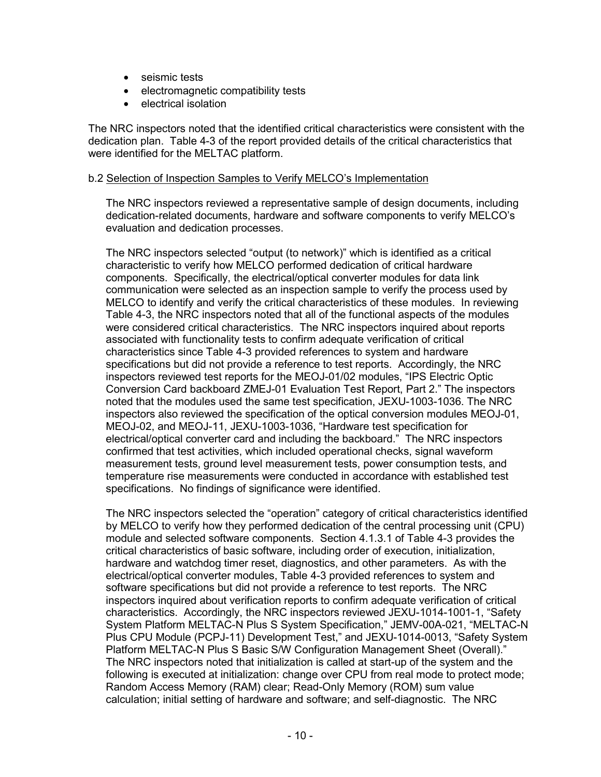- seismic tests
- electromagnetic compatibility tests
- electrical isolation

The NRC inspectors noted that the identified critical characteristics were consistent with the dedication plan. Table 4-3 of the report provided details of the critical characteristics that were identified for the MELTAC platform.

# b.2 Selection of Inspection Samples to Verify MELCO's Implementation

The NRC inspectors reviewed a representative sample of design documents, including dedication-related documents, hardware and software components to verify MELCO's evaluation and dedication processes.

The NRC inspectors selected "output (to network)" which is identified as a critical characteristic to verify how MELCO performed dedication of critical hardware components. Specifically, the electrical/optical converter modules for data link communication were selected as an inspection sample to verify the process used by MELCO to identify and verify the critical characteristics of these modules. In reviewing Table 4-3, the NRC inspectors noted that all of the functional aspects of the modules were considered critical characteristics. The NRC inspectors inquired about reports associated with functionality tests to confirm adequate verification of critical characteristics since Table 4-3 provided references to system and hardware specifications but did not provide a reference to test reports. Accordingly, the NRC inspectors reviewed test reports for the MEOJ-01/02 modules, "IPS Electric Optic Conversion Card backboard ZMEJ-01 Evaluation Test Report, Part 2." The inspectors noted that the modules used the same test specification, JEXU-1003-1036. The NRC inspectors also reviewed the specification of the optical conversion modules MEOJ-01, MEOJ-02, and MEOJ-11, JEXU-1003-1036, "Hardware test specification for electrical/optical converter card and including the backboard." The NRC inspectors confirmed that test activities, which included operational checks, signal waveform measurement tests, ground level measurement tests, power consumption tests, and temperature rise measurements were conducted in accordance with established test specifications. No findings of significance were identified.

The NRC inspectors selected the "operation" category of critical characteristics identified by MELCO to verify how they performed dedication of the central processing unit (CPU) module and selected software components. Section 4.1.3.1 of Table 4-3 provides the critical characteristics of basic software, including order of execution, initialization, hardware and watchdog timer reset, diagnostics, and other parameters. As with the electrical/optical converter modules, Table 4-3 provided references to system and software specifications but did not provide a reference to test reports. The NRC inspectors inquired about verification reports to confirm adequate verification of critical characteristics. Accordingly, the NRC inspectors reviewed JEXU-1014-1001-1, "Safety System Platform MELTAC-N Plus S System Specification," JEMV-00A-021, "MELTAC-N Plus CPU Module (PCPJ-11) Development Test," and JEXU-1014-0013, "Safety System Platform MELTAC-N Plus S Basic S/W Configuration Management Sheet (Overall)." The NRC inspectors noted that initialization is called at start-up of the system and the following is executed at initialization: change over CPU from real mode to protect mode; Random Access Memory (RAM) clear; Read-Only Memory (ROM) sum value calculation; initial setting of hardware and software; and self-diagnostic. The NRC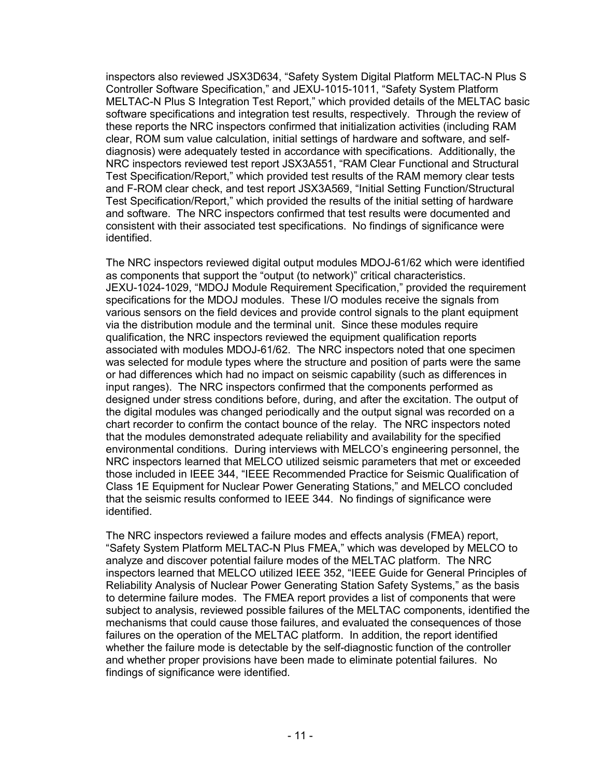inspectors also reviewed JSX3D634, "Safety System Digital Platform MELTAC-N Plus S Controller Software Specification," and JEXU-1015-1011, "Safety System Platform MELTAC-N Plus S Integration Test Report," which provided details of the MELTAC basic software specifications and integration test results, respectively. Through the review of these reports the NRC inspectors confirmed that initialization activities (including RAM clear, ROM sum value calculation, initial settings of hardware and software, and selfdiagnosis) were adequately tested in accordance with specifications. Additionally, the NRC inspectors reviewed test report JSX3A551, "RAM Clear Functional and Structural Test Specification/Report," which provided test results of the RAM memory clear tests and F-ROM clear check, and test report JSX3A569, "Initial Setting Function/Structural Test Specification/Report," which provided the results of the initial setting of hardware and software. The NRC inspectors confirmed that test results were documented and consistent with their associated test specifications. No findings of significance were identified.

The NRC inspectors reviewed digital output modules MDOJ-61/62 which were identified as components that support the "output (to network)" critical characteristics. JEXU-1024-1029, "MDOJ Module Requirement Specification," provided the requirement specifications for the MDOJ modules. These I/O modules receive the signals from various sensors on the field devices and provide control signals to the plant equipment via the distribution module and the terminal unit. Since these modules require qualification, the NRC inspectors reviewed the equipment qualification reports associated with modules MDOJ-61/62. The NRC inspectors noted that one specimen was selected for module types where the structure and position of parts were the same or had differences which had no impact on seismic capability (such as differences in input ranges). The NRC inspectors confirmed that the components performed as designed under stress conditions before, during, and after the excitation. The output of the digital modules was changed periodically and the output signal was recorded on a chart recorder to confirm the contact bounce of the relay. The NRC inspectors noted that the modules demonstrated adequate reliability and availability for the specified environmental conditions. During interviews with MELCO's engineering personnel, the NRC inspectors learned that MELCO utilized seismic parameters that met or exceeded those included in IEEE 344, "IEEE Recommended Practice for Seismic Qualification of Class 1E Equipment for Nuclear Power Generating Stations," and MELCO concluded that the seismic results conformed to IEEE 344. No findings of significance were identified.

The NRC inspectors reviewed a failure modes and effects analysis (FMEA) report, "Safety System Platform MELTAC-N Plus FMEA," which was developed by MELCO to analyze and discover potential failure modes of the MELTAC platform. The NRC inspectors learned that MELCO utilized IEEE 352, "IEEE Guide for General Principles of Reliability Analysis of Nuclear Power Generating Station Safety Systems," as the basis to determine failure modes. The FMEA report provides a list of components that were subject to analysis, reviewed possible failures of the MELTAC components, identified the mechanisms that could cause those failures, and evaluated the consequences of those failures on the operation of the MELTAC platform. In addition, the report identified whether the failure mode is detectable by the self-diagnostic function of the controller and whether proper provisions have been made to eliminate potential failures. No findings of significance were identified.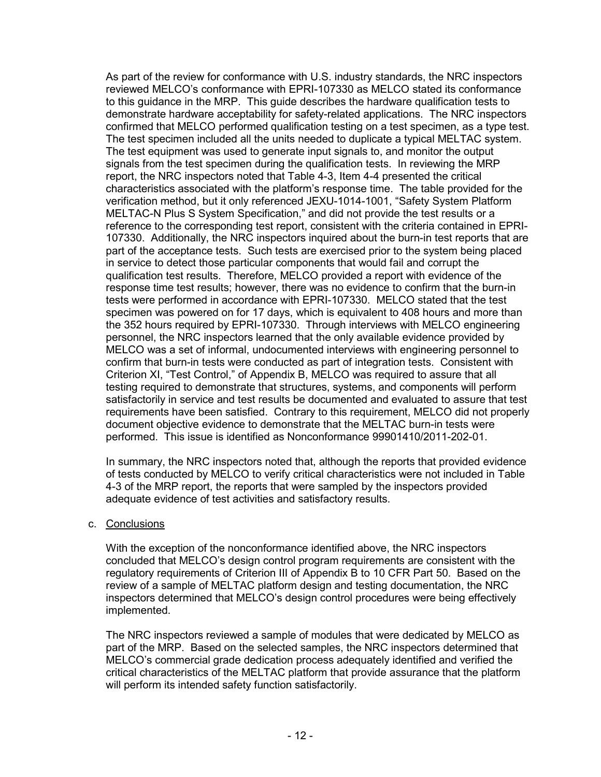As part of the review for conformance with U.S. industry standards, the NRC inspectors reviewed MELCO's conformance with EPRI-107330 as MELCO stated its conformance to this guidance in the MRP. This guide describes the hardware qualification tests to demonstrate hardware acceptability for safety-related applications. The NRC inspectors confirmed that MELCO performed qualification testing on a test specimen, as a type test. The test specimen included all the units needed to duplicate a typical MELTAC system. The test equipment was used to generate input signals to, and monitor the output signals from the test specimen during the qualification tests. In reviewing the MRP report, the NRC inspectors noted that Table 4-3, Item 4-4 presented the critical characteristics associated with the platform's response time. The table provided for the verification method, but it only referenced JEXU-1014-1001, "Safety System Platform MELTAC-N Plus S System Specification," and did not provide the test results or a reference to the corresponding test report, consistent with the criteria contained in EPRI-107330. Additionally, the NRC inspectors inquired about the burn-in test reports that are part of the acceptance tests. Such tests are exercised prior to the system being placed in service to detect those particular components that would fail and corrupt the qualification test results. Therefore, MELCO provided a report with evidence of the response time test results; however, there was no evidence to confirm that the burn-in tests were performed in accordance with EPRI-107330. MELCO stated that the test specimen was powered on for 17 days, which is equivalent to 408 hours and more than the 352 hours required by EPRI-107330. Through interviews with MELCO engineering personnel, the NRC inspectors learned that the only available evidence provided by MELCO was a set of informal, undocumented interviews with engineering personnel to confirm that burn-in tests were conducted as part of integration tests. Consistent with Criterion XI, "Test Control," of Appendix B, MELCO was required to assure that all testing required to demonstrate that structures, systems, and components will perform satisfactorily in service and test results be documented and evaluated to assure that test requirements have been satisfied. Contrary to this requirement, MELCO did not properly document objective evidence to demonstrate that the MELTAC burn-in tests were performed. This issue is identified as Nonconformance 99901410/2011-202-01.

In summary, the NRC inspectors noted that, although the reports that provided evidence of tests conducted by MELCO to verify critical characteristics were not included in Table 4-3 of the MRP report, the reports that were sampled by the inspectors provided adequate evidence of test activities and satisfactory results.

c. Conclusions

With the exception of the nonconformance identified above, the NRC inspectors concluded that MELCO's design control program requirements are consistent with the regulatory requirements of Criterion III of Appendix B to 10 CFR Part 50. Based on the review of a sample of MELTAC platform design and testing documentation, the NRC inspectors determined that MELCO's design control procedures were being effectively implemented.

The NRC inspectors reviewed a sample of modules that were dedicated by MELCO as part of the MRP. Based on the selected samples, the NRC inspectors determined that MELCO's commercial grade dedication process adequately identified and verified the critical characteristics of the MELTAC platform that provide assurance that the platform will perform its intended safety function satisfactorily.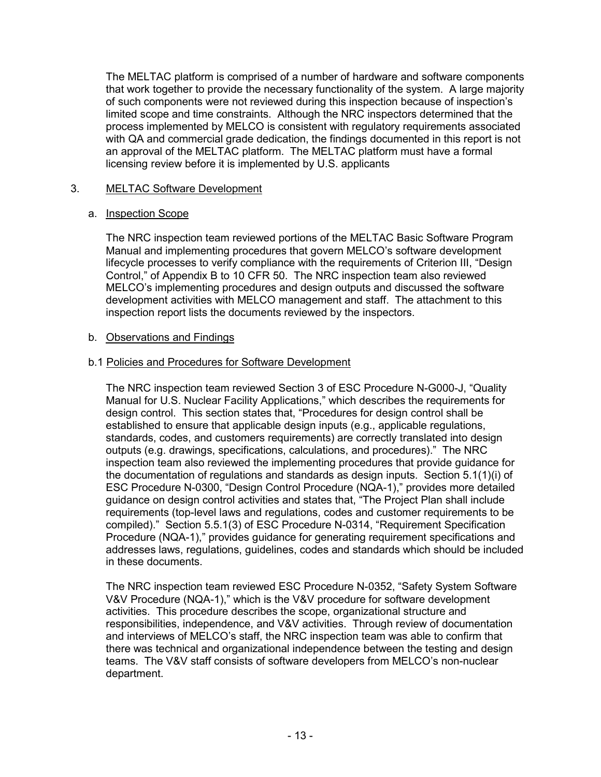The MELTAC platform is comprised of a number of hardware and software components that work together to provide the necessary functionality of the system. A large majority of such components were not reviewed during this inspection because of inspection's limited scope and time constraints. Although the NRC inspectors determined that the process implemented by MELCO is consistent with regulatory requirements associated with QA and commercial grade dedication, the findings documented in this report is not an approval of the MELTAC platform. The MELTAC platform must have a formal licensing review before it is implemented by U.S. applicants

# 3. MELTAC Software Development

# a. Inspection Scope

The NRC inspection team reviewed portions of the MELTAC Basic Software Program Manual and implementing procedures that govern MELCO's software development lifecycle processes to verify compliance with the requirements of Criterion III, "Design Control," of Appendix B to 10 CFR 50. The NRC inspection team also reviewed MELCO's implementing procedures and design outputs and discussed the software development activities with MELCO management and staff. The attachment to this inspection report lists the documents reviewed by the inspectors.

# b. Observations and Findings

# b.1 Policies and Procedures for Software Development

The NRC inspection team reviewed Section 3 of ESC Procedure N-G000-J, "Quality Manual for U.S. Nuclear Facility Applications," which describes the requirements for design control. This section states that, "Procedures for design control shall be established to ensure that applicable design inputs (e.g., applicable regulations, standards, codes, and customers requirements) are correctly translated into design outputs (e.g. drawings, specifications, calculations, and procedures)." The NRC inspection team also reviewed the implementing procedures that provide guidance for the documentation of regulations and standards as design inputs. Section 5.1(1)(i) of ESC Procedure N-0300, "Design Control Procedure (NQA-1)," provides more detailed guidance on design control activities and states that, "The Project Plan shall include requirements (top-level laws and regulations, codes and customer requirements to be compiled)." Section 5.5.1(3) of ESC Procedure N-0314, "Requirement Specification Procedure (NQA-1)," provides guidance for generating requirement specifications and addresses laws, regulations, guidelines, codes and standards which should be included in these documents.

The NRC inspection team reviewed ESC Procedure N-0352, "Safety System Software V&V Procedure (NQA-1)," which is the V&V procedure for software development activities. This procedure describes the scope, organizational structure and responsibilities, independence, and V&V activities. Through review of documentation and interviews of MELCO's staff, the NRC inspection team was able to confirm that there was technical and organizational independence between the testing and design teams. The V&V staff consists of software developers from MELCO's non-nuclear department.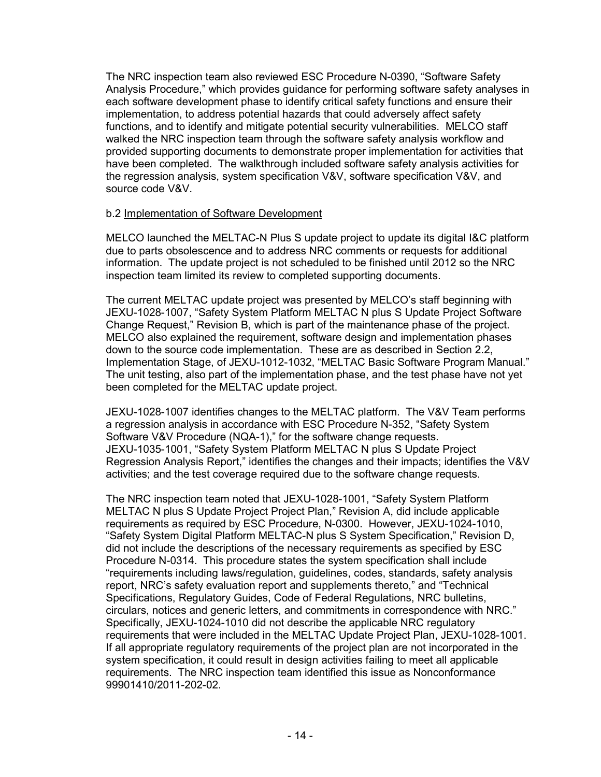The NRC inspection team also reviewed ESC Procedure N-0390, "Software Safety Analysis Procedure," which provides guidance for performing software safety analyses in each software development phase to identify critical safety functions and ensure their implementation, to address potential hazards that could adversely affect safety functions, and to identify and mitigate potential security vulnerabilities. MELCO staff walked the NRC inspection team through the software safety analysis workflow and provided supporting documents to demonstrate proper implementation for activities that have been completed. The walkthrough included software safety analysis activities for the regression analysis, system specification V&V, software specification V&V, and source code V&V.

# b.2 Implementation of Software Development

MELCO launched the MELTAC-N Plus S update project to update its digital I&C platform due to parts obsolescence and to address NRC comments or requests for additional information. The update project is not scheduled to be finished until 2012 so the NRC inspection team limited its review to completed supporting documents.

The current MELTAC update project was presented by MELCO's staff beginning with JEXU-1028-1007, "Safety System Platform MELTAC N plus S Update Project Software Change Request," Revision B, which is part of the maintenance phase of the project. MELCO also explained the requirement, software design and implementation phases down to the source code implementation. These are as described in Section 2.2, Implementation Stage, of JEXU-1012-1032, "MELTAC Basic Software Program Manual." The unit testing, also part of the implementation phase, and the test phase have not yet been completed for the MELTAC update project.

JEXU-1028-1007 identifies changes to the MELTAC platform. The V&V Team performs a regression analysis in accordance with ESC Procedure N-352, "Safety System Software V&V Procedure (NQA-1)," for the software change requests. JEXU-1035-1001, "Safety System Platform MELTAC N plus S Update Project Regression Analysis Report," identifies the changes and their impacts; identifies the V&V activities; and the test coverage required due to the software change requests.

The NRC inspection team noted that JEXU-1028-1001, "Safety System Platform MELTAC N plus S Update Project Project Plan," Revision A, did include applicable requirements as required by ESC Procedure, N-0300. However, JEXU-1024-1010, "Safety System Digital Platform MELTAC-N plus S System Specification," Revision D, did not include the descriptions of the necessary requirements as specified by ESC Procedure N-0314. This procedure states the system specification shall include "requirements including laws/regulation, guidelines, codes, standards, safety analysis report, NRC's safety evaluation report and supplements thereto," and "Technical Specifications, Regulatory Guides, Code of Federal Regulations, NRC bulletins, circulars, notices and generic letters, and commitments in correspondence with NRC." Specifically, JEXU-1024-1010 did not describe the applicable NRC regulatory requirements that were included in the MELTAC Update Project Plan, JEXU-1028-1001. If all appropriate regulatory requirements of the project plan are not incorporated in the system specification, it could result in design activities failing to meet all applicable requirements. The NRC inspection team identified this issue as Nonconformance 99901410/2011-202-02.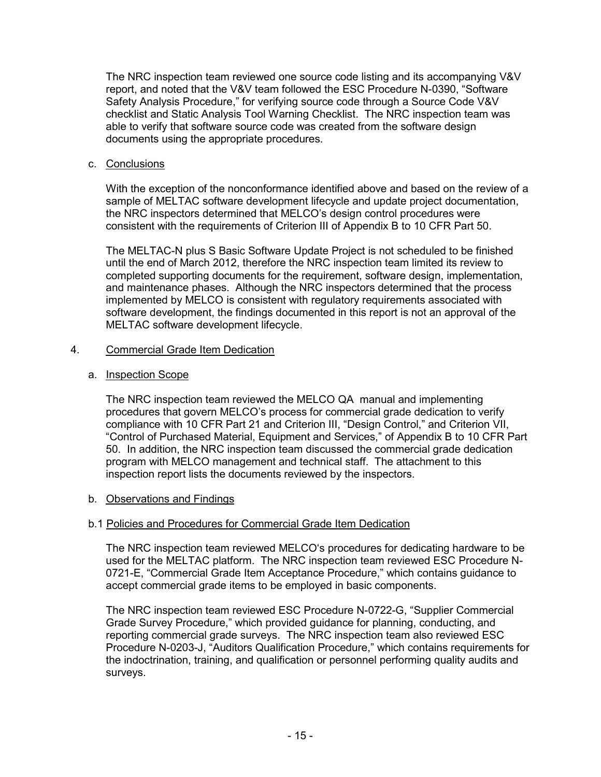The NRC inspection team reviewed one source code listing and its accompanying V&V report, and noted that the V&V team followed the ESC Procedure N-0390, "Software Safety Analysis Procedure," for verifying source code through a Source Code V&V checklist and Static Analysis Tool Warning Checklist. The NRC inspection team was able to verify that software source code was created from the software design documents using the appropriate procedures.

# c. Conclusions

With the exception of the nonconformance identified above and based on the review of a sample of MELTAC software development lifecycle and update project documentation, the NRC inspectors determined that MELCO's design control procedures were consistent with the requirements of Criterion III of Appendix B to 10 CFR Part 50.

The MELTAC-N plus S Basic Software Update Project is not scheduled to be finished until the end of March 2012, therefore the NRC inspection team limited its review to completed supporting documents for the requirement, software design, implementation, and maintenance phases. Although the NRC inspectors determined that the process implemented by MELCO is consistent with regulatory requirements associated with software development, the findings documented in this report is not an approval of the MELTAC software development lifecycle.

#### 4. Commercial Grade Item Dedication

#### a. Inspection Scope

The NRC inspection team reviewed the MELCO QA manual and implementing procedures that govern MELCO's process for commercial grade dedication to verify compliance with 10 CFR Part 21 and Criterion III, "Design Control," and Criterion VII, "Control of Purchased Material, Equipment and Services," of Appendix B to 10 CFR Part 50. In addition, the NRC inspection team discussed the commercial grade dedication program with MELCO management and technical staff. The attachment to this inspection report lists the documents reviewed by the inspectors.

# b. Observations and Findings

# b.1 Policies and Procedures for Commercial Grade Item Dedication

The NRC inspection team reviewed MELCO's procedures for dedicating hardware to be used for the MELTAC platform. The NRC inspection team reviewed ESC Procedure N-0721-E, "Commercial Grade Item Acceptance Procedure," which contains guidance to accept commercial grade items to be employed in basic components.

The NRC inspection team reviewed ESC Procedure N-0722-G, "Supplier Commercial Grade Survey Procedure," which provided guidance for planning, conducting, and reporting commercial grade surveys. The NRC inspection team also reviewed ESC Procedure N-0203-J, "Auditors Qualification Procedure," which contains requirements for the indoctrination, training, and qualification or personnel performing quality audits and surveys.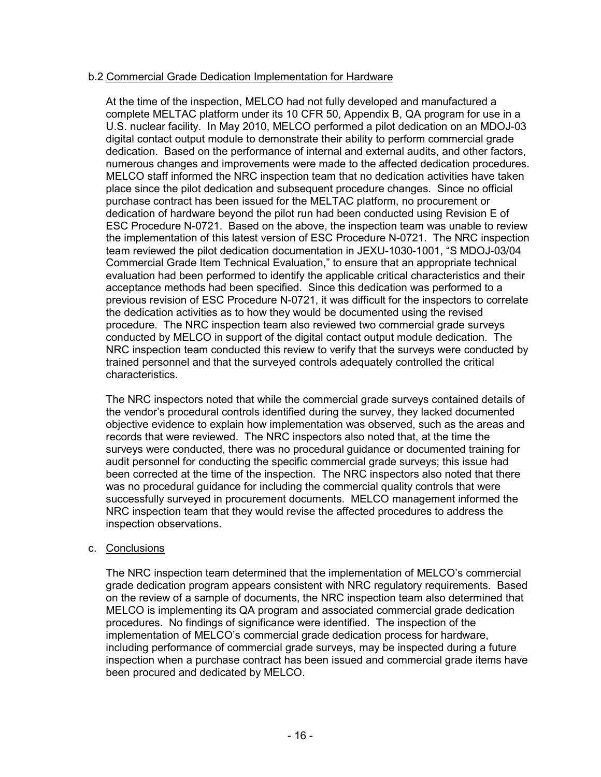# b.2 Commercial Grade Dedication Implementation for Hardware

At the time of the inspection, MELCO had not fully developed and manufactured a complete MELTAC platform under its 10 CFR 50, Appendix B, QA program for use in a U.S. nuclear facility. In May 2010, MELCO performed a pilot dedication on an MDOJ-03 digital contact output module to demonstrate their ability to perform commercial grade dedication. Based on the performance of internal and external audits, and other factors, numerous changes and improvements were made to the affected dedication procedures. MELCO staff informed the NRC inspection team that no dedication activities have taken place since the pilot dedication and subsequent procedure changes. Since no official purchase contract has been issued for the MELTAC platform, no procurement or dedication of hardware beyond the pilot run had been conducted using Revision E of ESC Procedure N-0721. Based on the above, the inspection team was unable to review the implementation of this latest version of ESC Procedure N-0721. The NRC inspection team reviewed the pilot dedication documentation in JEXU-1030-1001, "S MDOJ-03/04 Commercial Grade Item Technical Evaluation," to ensure that an appropriate technical evaluation had been performed to identify the applicable critical characteristics and their acceptance methods had been specified. Since this dedication was performed to a previous revision of ESC Procedure N-0721, it was difficult for the inspectors to correlate the dedication activities as to how they would be documented using the revised procedure. The NRC inspection team also reviewed two commercial grade surveys conducted by MELCO in support of the digital contact output module dedication. The NRC inspection team conducted this review to verify that the surveys were conducted by trained personnel and that the surveyed controls adequately controlled the critical characteristics.

The NRC inspectors noted that while the commercial grade surveys contained details of the vendor's procedural controls identified during the survey, they lacked documented objective evidence to explain how implementation was observed, such as the areas and records that were reviewed. The NRC inspectors also noted that, at the time the surveys were conducted, there was no procedural guidance or documented training for audit personnel for conducting the specific commercial grade surveys; this issue had been corrected at the time of the inspection. The NRC inspectors also noted that there was no procedural guidance for including the commercial quality controls that were successfully surveyed in procurement documents. MELCO management informed the NRC inspection team that they would revise the affected procedures to address the inspection observations.

# c. Conclusions

The NRC inspection team determined that the implementation of MELCO's commercial grade dedication program appears consistent with NRC regulatory requirements. Based on the review of a sample of documents, the NRC inspection team also determined that MELCO is implementing its QA program and associated commercial grade dedication procedures. No findings of significance were identified. The inspection of the implementation of MELCO's commercial grade dedication process for hardware, including performance of commercial grade surveys, may be inspected during a future inspection when a purchase contract has been issued and commercial grade items have been procured and dedicated by MELCO.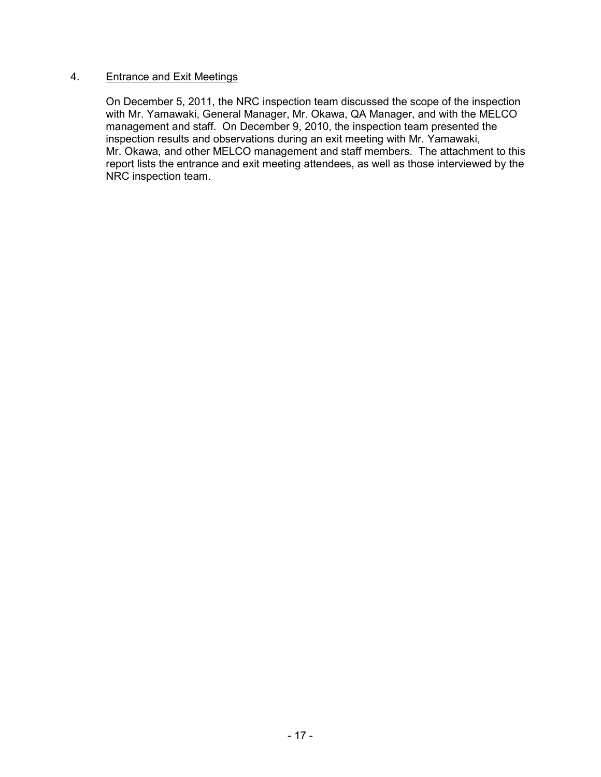#### 4. Entrance and Exit Meetings

On December 5, 2011, the NRC inspection team discussed the scope of the inspection with Mr. Yamawaki, General Manager, Mr. Okawa, QA Manager, and with the MELCO management and staff. On December 9, 2010, the inspection team presented the inspection results and observations during an exit meeting with Mr. Yamawaki, Mr. Okawa, and other MELCO management and staff members. The attachment to this report lists the entrance and exit meeting attendees, as well as those interviewed by the NRC inspection team.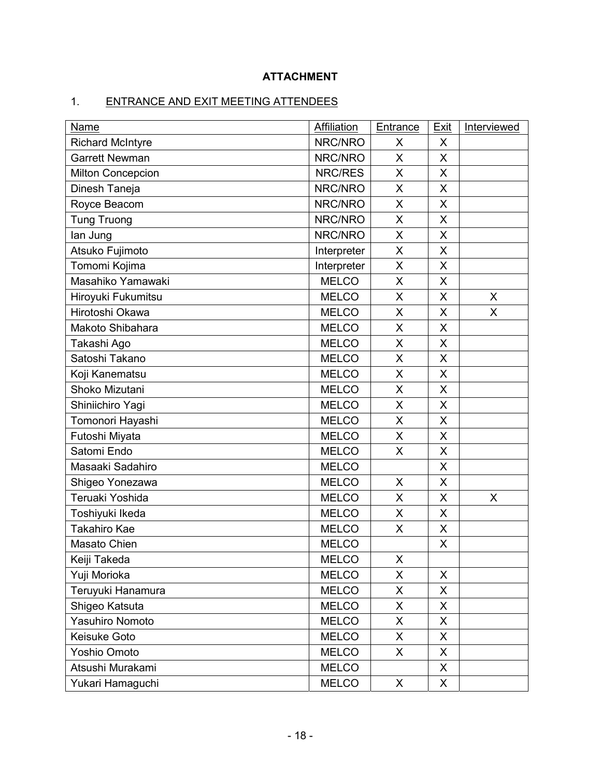# **ATTACHMENT**

# 1. ENTRANCE AND EXIT MEETING ATTENDEES

| Name                     | <b>Affiliation</b> | Entrance           | <b>Exit</b> | Interviewed |
|--------------------------|--------------------|--------------------|-------------|-------------|
| <b>Richard McIntyre</b>  | NRC/NRO            | X                  | X           |             |
| <b>Garrett Newman</b>    | NRC/NRO            | X                  | X           |             |
| <b>Milton Concepcion</b> | NRC/RES            | X                  | X           |             |
| Dinesh Taneja            | NRC/NRO            | X                  | X           |             |
| Royce Beacom             | NRC/NRO            | X                  | X           |             |
| <b>Tung Truong</b>       | NRC/NRO            | X                  | X           |             |
| lan Jung                 | NRC/NRO            | X                  | X           |             |
| Atsuko Fujimoto          | Interpreter        | X                  | X           |             |
| Tomomi Kojima            | Interpreter        | X                  | X           |             |
| Masahiko Yamawaki        | <b>MELCO</b>       | X                  | X           |             |
| Hiroyuki Fukumitsu       | <b>MELCO</b>       | X                  | X           | X           |
| Hirotoshi Okawa          | <b>MELCO</b>       | X                  | X           | X           |
| Makoto Shibahara         | <b>MELCO</b>       | X                  | X           |             |
| Takashi Ago              | <b>MELCO</b>       | X                  | X           |             |
| Satoshi Takano           | <b>MELCO</b>       | X                  | X           |             |
| Koji Kanematsu           | <b>MELCO</b>       | X                  | X           |             |
| Shoko Mizutani           | <b>MELCO</b>       | X                  | X           |             |
| Shiniichiro Yagi         | <b>MELCO</b>       | X                  | X           |             |
| Tomonori Hayashi         | <b>MELCO</b>       | X                  | X           |             |
| Futoshi Miyata           | <b>MELCO</b>       | X                  | X           |             |
| Satomi Endo              | <b>MELCO</b>       | X                  | X           |             |
| Masaaki Sadahiro         | <b>MELCO</b>       |                    | X           |             |
| Shigeo Yonezawa          | <b>MELCO</b>       | X                  | X           |             |
| Teruaki Yoshida          | <b>MELCO</b>       | X                  | X           | X           |
| Toshiyuki Ikeda          | <b>MELCO</b>       | X                  | X           |             |
| <b>Takahiro Kae</b>      | <b>MELCO</b>       | X                  | X           |             |
| Masato Chien             | <b>MELCO</b>       |                    | X           |             |
| Keiji Takeda             | <b>MELCO</b>       | $\pmb{\mathsf{X}}$ |             |             |
| Yuji Morioka             | <b>MELCO</b>       | X                  | X           |             |
| Teruyuki Hanamura        | <b>MELCO</b>       | X                  | X.          |             |
| Shigeo Katsuta           | <b>MELCO</b>       | X                  | X.          |             |
| Yasuhiro Nomoto          | <b>MELCO</b>       | X                  | X           |             |
| Keisuke Goto             | <b>MELCO</b>       | X                  | X           |             |
| Yoshio Omoto             | <b>MELCO</b>       | X                  | X.          |             |
| Atsushi Murakami         | <b>MELCO</b>       |                    | X           |             |
| Yukari Hamaguchi         | <b>MELCO</b>       | X                  | X           |             |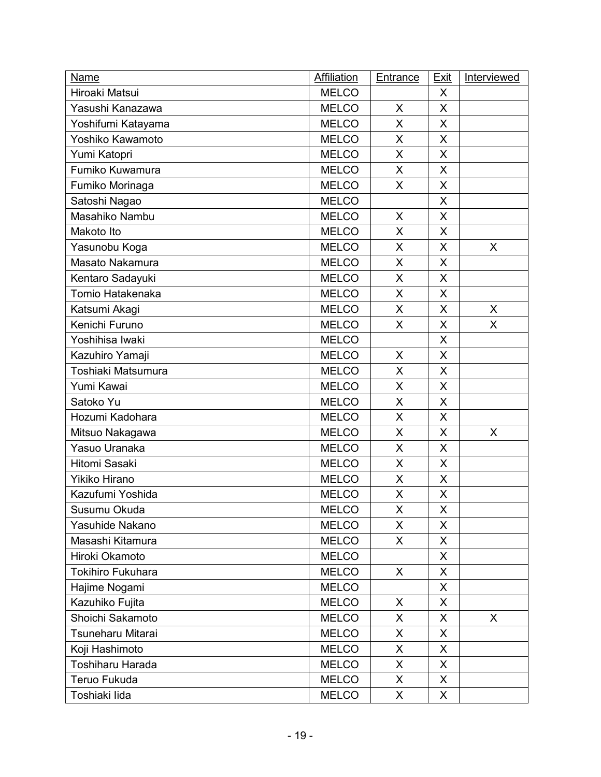| <b>Name</b>              | Affiliation  | <b>Entrance</b> | <b>Exit</b>  | Interviewed  |
|--------------------------|--------------|-----------------|--------------|--------------|
| Hiroaki Matsui           | <b>MELCO</b> |                 | X            |              |
| Yasushi Kanazawa         | <b>MELCO</b> | X               | $\mathsf{X}$ |              |
| Yoshifumi Katayama       | <b>MELCO</b> | X               | X            |              |
| Yoshiko Kawamoto         | <b>MELCO</b> | X               | X            |              |
| Yumi Katopri             | <b>MELCO</b> | X               | $\times$     |              |
| Fumiko Kuwamura          | <b>MELCO</b> | X               | X            |              |
| Fumiko Morinaga          | <b>MELCO</b> | X               | $\sf X$      |              |
| Satoshi Nagao            | <b>MELCO</b> |                 | X            |              |
| Masahiko Nambu           | <b>MELCO</b> | X               | X            |              |
| Makoto Ito               | <b>MELCO</b> | X               | $\mathsf{X}$ |              |
| Yasunobu Koga            | <b>MELCO</b> | X               | X            | X            |
| Masato Nakamura          | <b>MELCO</b> | X               | X            |              |
| Kentaro Sadayuki         | <b>MELCO</b> | X               | X            |              |
| Tomio Hatakenaka         | <b>MELCO</b> | X               | X            |              |
| Katsumi Akagi            | <b>MELCO</b> | X               | $\times$     | $\mathsf{X}$ |
| Kenichi Furuno           | <b>MELCO</b> | X               | X            | X            |
| Yoshihisa Iwaki          | <b>MELCO</b> |                 | X            |              |
| Kazuhiro Yamaji          | <b>MELCO</b> | X               | $\mathsf{X}$ |              |
| Toshiaki Matsumura       | <b>MELCO</b> | X               | X            |              |
| Yumi Kawai               | <b>MELCO</b> | X               | X            |              |
| Satoko Yu                | <b>MELCO</b> | X               | X            |              |
| Hozumi Kadohara          | <b>MELCO</b> | X               | X            |              |
| Mitsuo Nakagawa          | <b>MELCO</b> | X               | $\sf X$      | X            |
| Yasuo Uranaka            | <b>MELCO</b> | X               | X            |              |
| <b>Hitomi Sasaki</b>     | <b>MELCO</b> | X               | X            |              |
| <b>Yikiko Hirano</b>     | <b>MELCO</b> | X               | X            |              |
| Kazufumi Yoshida         | <b>MELCO</b> | X               | X            |              |
| Susumu Okuda             | <b>MELCO</b> | X               | X            |              |
| Yasuhide Nakano          | <b>MELCO</b> | X               | X            |              |
| Masashi Kitamura         | <b>MELCO</b> | X.              | X            |              |
| Hiroki Okamoto           | <b>MELCO</b> |                 | $\mathsf{X}$ |              |
| <b>Tokihiro Fukuhara</b> | <b>MELCO</b> | X.              | X            |              |
| Hajime Nogami            | <b>MELCO</b> |                 | X            |              |
| Kazuhiko Fujita          | <b>MELCO</b> | X               | X            |              |
| Shoichi Sakamoto         | <b>MELCO</b> | X               | X            | X            |
| Tsuneharu Mitarai        | <b>MELCO</b> | X               | X            |              |
| Koji Hashimoto           | <b>MELCO</b> | X               | $\mathsf{X}$ |              |
| <b>Toshiharu Harada</b>  | <b>MELCO</b> | X               | X            |              |
| Teruo Fukuda             | <b>MELCO</b> | X.              | X            |              |
| Toshiaki lida            | <b>MELCO</b> | X.              | X.           |              |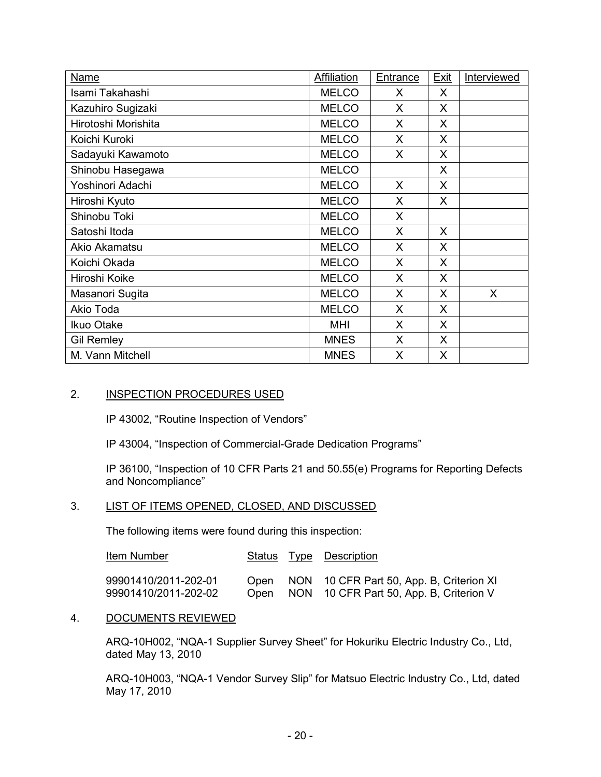| Name                | Affiliation  | Entrance | <b>Exit</b> | Interviewed |
|---------------------|--------------|----------|-------------|-------------|
| Isami Takahashi     | <b>MELCO</b> | X        | X           |             |
| Kazuhiro Sugizaki   | <b>MELCO</b> | X        | X           |             |
| Hirotoshi Morishita | <b>MELCO</b> | X        | X           |             |
| Koichi Kuroki       | <b>MELCO</b> | X        | X           |             |
| Sadayuki Kawamoto   | <b>MELCO</b> | X        | X           |             |
| Shinobu Hasegawa    | <b>MELCO</b> |          | X           |             |
| Yoshinori Adachi    | <b>MELCO</b> | X        | X           |             |
| Hiroshi Kyuto       | <b>MELCO</b> | X        | X           |             |
| Shinobu Toki        | <b>MELCO</b> | X        |             |             |
| Satoshi Itoda       | <b>MELCO</b> | X        | X           |             |
| Akio Akamatsu       | <b>MELCO</b> | X        | X           |             |
| Koichi Okada        | <b>MELCO</b> | X        | X           |             |
| Hiroshi Koike       | <b>MELCO</b> | X        | X           |             |
| Masanori Sugita     | <b>MELCO</b> | X        | X           | X           |
| Akio Toda           | <b>MELCO</b> | X        | X.          |             |
| Ikuo Otake          | <b>MHI</b>   | X        | X           |             |
| <b>Gil Remley</b>   | <b>MNES</b>  | X        | X           |             |
| M. Vann Mitchell    | <b>MNES</b>  | X        | X           |             |

#### 2. INSPECTION PROCEDURES USED

IP 43002, "Routine Inspection of Vendors"

IP 43004, "Inspection of Commercial-Grade Dedication Programs"

IP 36100, "Inspection of 10 CFR Parts 21 and 50.55(e) Programs for Reporting Defects and Noncompliance"

# 3. LIST OF ITEMS OPENED, CLOSED, AND DISCUSSED

The following items were found during this inspection:

| Item Number                                  |  | <b>Status Type Description</b>                                                                |
|----------------------------------------------|--|-----------------------------------------------------------------------------------------------|
| 99901410/2011-202-01<br>99901410/2011-202-02 |  | Open NON 10 CFR Part 50, App. B, Criterion XI<br>Open NON 10 CFR Part 50, App. B, Criterion V |

#### 4. DOCUMENTS REVIEWED

ARQ-10H002, "NQA-1 Supplier Survey Sheet" for Hokuriku Electric Industry Co., Ltd, dated May 13, 2010

ARQ-10H003, "NQA-1 Vendor Survey Slip" for Matsuo Electric Industry Co., Ltd, dated May 17, 2010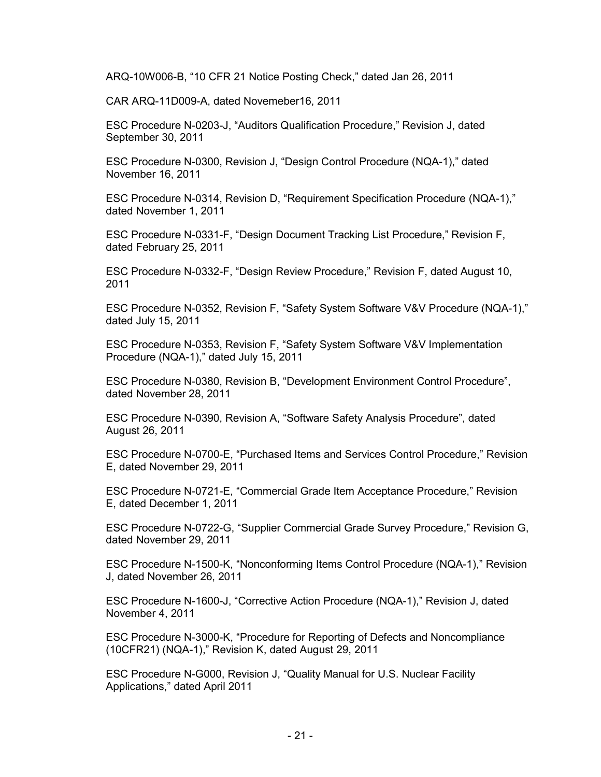ARQ-10W006-B, "10 CFR 21 Notice Posting Check," dated Jan 26, 2011

CAR ARQ-11D009-A, dated Novemeber16, 2011

ESC Procedure N-0203-J, "Auditors Qualification Procedure," Revision J, dated September 30, 2011

ESC Procedure N-0300, Revision J, "Design Control Procedure (NQA-1)," dated November 16, 2011

ESC Procedure N-0314, Revision D, "Requirement Specification Procedure (NQA-1)," dated November 1, 2011

ESC Procedure N-0331-F, "Design Document Tracking List Procedure," Revision F, dated February 25, 2011

ESC Procedure N-0332-F, "Design Review Procedure," Revision F, dated August 10, 2011

ESC Procedure N-0352, Revision F, "Safety System Software V&V Procedure (NQA-1)," dated July 15, 2011

ESC Procedure N-0353, Revision F, "Safety System Software V&V Implementation Procedure (NQA-1)," dated July 15, 2011

ESC Procedure N-0380, Revision B, "Development Environment Control Procedure", dated November 28, 2011

ESC Procedure N-0390, Revision A, "Software Safety Analysis Procedure", dated August 26, 2011

ESC Procedure N-0700-E, "Purchased Items and Services Control Procedure," Revision E, dated November 29, 2011

ESC Procedure N-0721-E, "Commercial Grade Item Acceptance Procedure," Revision E, dated December 1, 2011

ESC Procedure N-0722-G, "Supplier Commercial Grade Survey Procedure," Revision G, dated November 29, 2011

ESC Procedure N-1500-K, "Nonconforming Items Control Procedure (NQA-1)," Revision J, dated November 26, 2011

ESC Procedure N-1600-J, "Corrective Action Procedure (NQA-1)," Revision J, dated November 4, 2011

ESC Procedure N-3000-K, "Procedure for Reporting of Defects and Noncompliance (10CFR21) (NQA-1)," Revision K, dated August 29, 2011

ESC Procedure N-G000, Revision J, "Quality Manual for U.S. Nuclear Facility Applications," dated April 2011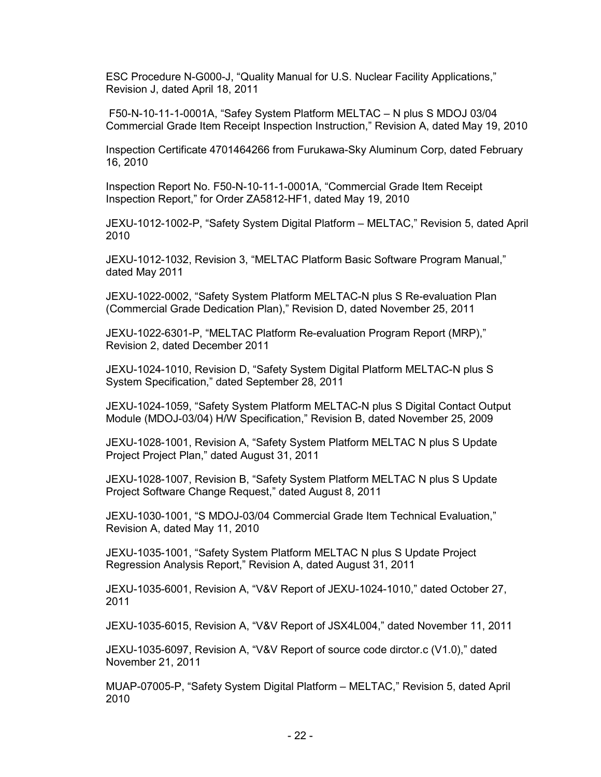ESC Procedure N-G000-J, "Quality Manual for U.S. Nuclear Facility Applications," Revision J, dated April 18, 2011

 F50-N-10-11-1-0001A, "Safey System Platform MELTAC – N plus S MDOJ 03/04 Commercial Grade Item Receipt Inspection Instruction," Revision A, dated May 19, 2010

Inspection Certificate 4701464266 from Furukawa-Sky Aluminum Corp, dated February 16, 2010

Inspection Report No. F50-N-10-11-1-0001A, "Commercial Grade Item Receipt Inspection Report," for Order ZA5812-HF1, dated May 19, 2010

JEXU-1012-1002-P, "Safety System Digital Platform – MELTAC," Revision 5, dated April 2010

JEXU-1012-1032, Revision 3, "MELTAC Platform Basic Software Program Manual," dated May 2011

JEXU-1022-0002, "Safety System Platform MELTAC-N plus S Re-evaluation Plan (Commercial Grade Dedication Plan)," Revision D, dated November 25, 2011

JEXU-1022-6301-P, "MELTAC Platform Re-evaluation Program Report (MRP)," Revision 2, dated December 2011

JEXU-1024-1010, Revision D, "Safety System Digital Platform MELTAC-N plus S System Specification," dated September 28, 2011

JEXU-1024-1059, "Safety System Platform MELTAC-N plus S Digital Contact Output Module (MDOJ-03/04) H/W Specification," Revision B, dated November 25, 2009

JEXU-1028-1001, Revision A, "Safety System Platform MELTAC N plus S Update Project Project Plan," dated August 31, 2011

JEXU-1028-1007, Revision B, "Safety System Platform MELTAC N plus S Update Project Software Change Request," dated August 8, 2011

JEXU-1030-1001, "S MDOJ-03/04 Commercial Grade Item Technical Evaluation," Revision A, dated May 11, 2010

JEXU-1035-1001, "Safety System Platform MELTAC N plus S Update Project Regression Analysis Report," Revision A, dated August 31, 2011

JEXU-1035-6001, Revision A, "V&V Report of JEXU-1024-1010," dated October 27, 2011

JEXU-1035-6015, Revision A, "V&V Report of JSX4L004," dated November 11, 2011

JEXU-1035-6097, Revision A, "V&V Report of source code dirctor.c (V1.0)," dated November 21, 2011

MUAP-07005-P, "Safety System Digital Platform – MELTAC," Revision 5, dated April 2010